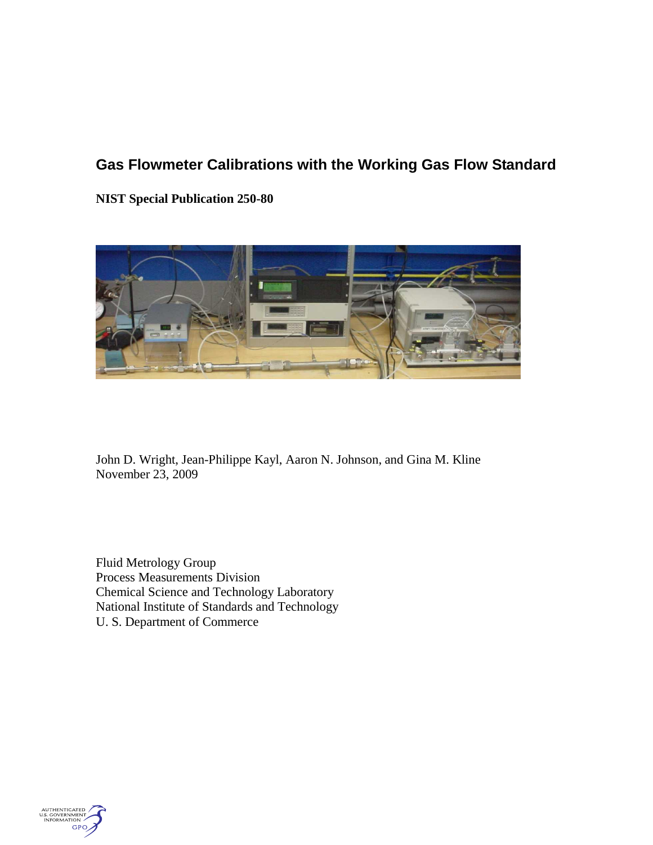## **Gas Flowmeter Calibrations with the Working Gas Flow Standard**

**NIST Special Publication 250-80**



John D. Wright, Jean-Philippe Kayl, Aaron N. Johnson, and Gina M. Kline November 23, 2009

Fluid Metrology Group Process Measurements Division Chemical Science and Technology Laboratory National Institute of Standards and Technology U. S. Department of Commerce

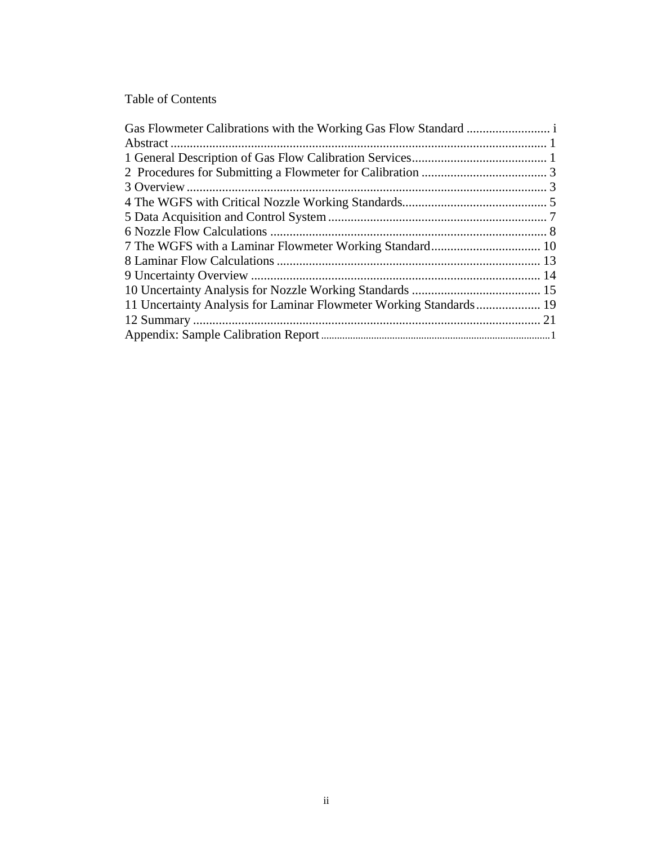## Table of Contents

| 11 Uncertainty Analysis for Laminar Flowmeter Working Standards 19 |  |
|--------------------------------------------------------------------|--|
|                                                                    |  |
|                                                                    |  |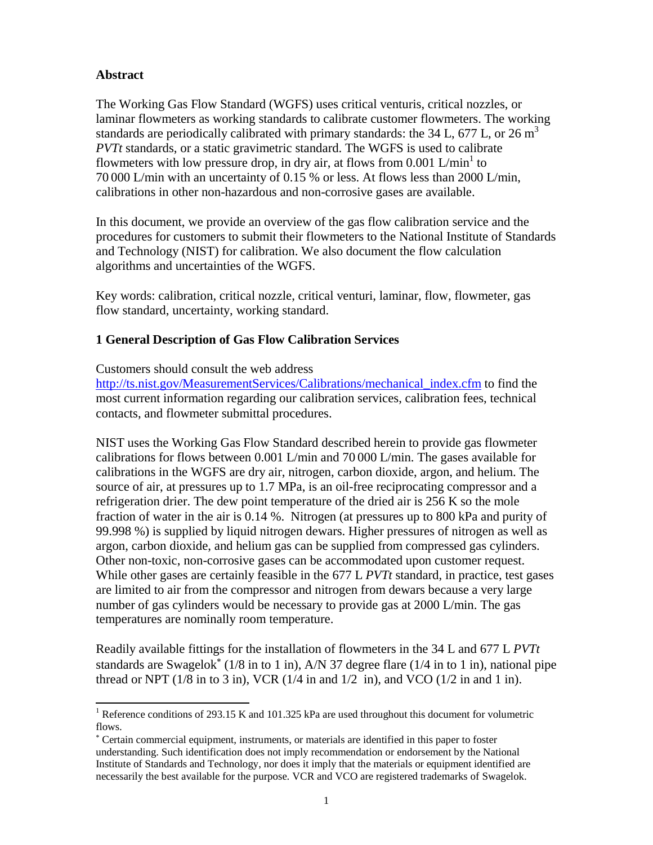## **Abstract**

The Working Gas Flow Standard (WGFS) uses critical venturis, critical nozzles, or laminar flowmeters as working standards to calibrate customer flowmeters. The working standards are periodically calibrated with primary standards: the  $34$  L,  $677$  L, or  $26 \text{ m}^3$ *PVTt* standards, or a static gravimetric standard. The WGFS is used to calibrate flowmeters with low pressure drop, in dry air, at flows from  $0.001 \text{ L/min}^1$  to 70 000 L/min with an uncertainty of 0.15 % or less. At flows less than 2000 L/min, calibrations in other non-hazardous and non-corrosive gases are available.

In this document, we provide an overview of the gas flow calibration service and the procedures for customers to submit their flowmeters to the National Institute of Standards and Technology (NIST) for calibration. We also document the flow calculation algorithms and uncertainties of the WGFS.

Key words: calibration, critical nozzle, critical venturi, laminar, flow, flowmeter, gas flow standard, uncertainty, working standard.

## **1 General Description of Gas Flow Calibration Services**

Customers should consult the web address

[http://ts.nist.gov/MeasurementServices/Calibrations/mechanical\\_index.cfm](http://ts.nist.gov/MeasurementServices/Calibrations/mechanical_index.cfm) to find the most current information regarding our calibration services, calibration fees, technical contacts, and flowmeter submittal procedures.

NIST uses the Working Gas Flow Standard described herein to provide gas flowmeter calibrations for flows between 0.001 L/min and 70 000 L/min. The gases available for calibrations in the WGFS are dry air, nitrogen, carbon dioxide, argon, and helium. The source of air, at pressures up to 1.7 MPa, is an oil-free reciprocating compressor and a refrigeration drier. The dew point temperature of the dried air is 256 K so the mole fraction of water in the air is 0.14 %. Nitrogen (at pressures up to 800 kPa and purity of 99.998 %) is supplied by liquid nitrogen dewars. Higher pressures of nitrogen as well as argon, carbon dioxide, and helium gas can be supplied from compressed gas cylinders. Other non-toxic, non-corrosive gases can be accommodated upon customer request. While other gases are certainly feasible in the 677 L *PVTt* standard, in practice, test gases are limited to air from the compressor and nitrogen from dewars because a very large number of gas cylinders would be necessary to provide gas at 2000 L/min. The gas temperatures are nominally room temperature.

Readily available fittings for the installation of flowmeters in the 34 L and 677 L *PVTt* standards are Swagelok<sup>\*</sup> (1/8 in to 1 in), A/N 37 degree flare (1/4 in to 1 in), national pipe thread or NPT ( $1/8$  in to 3 in), VCR ( $1/4$  in and  $1/2$  in), and VCO ( $1/2$  in and  $1$  in).

<sup>-</sup><sup>1</sup> Reference conditions of 293.15 K and 101.325 kPa are used throughout this document for volumetric flows.

Certain commercial equipment, instruments, or materials are identified in this paper to foster understanding. Such identification does not imply recommendation or endorsement by the National Institute of Standards and Technology, nor does it imply that the materials or equipment identified are necessarily the best available for the purpose. VCR and VCO are registered trademarks of Swagelok.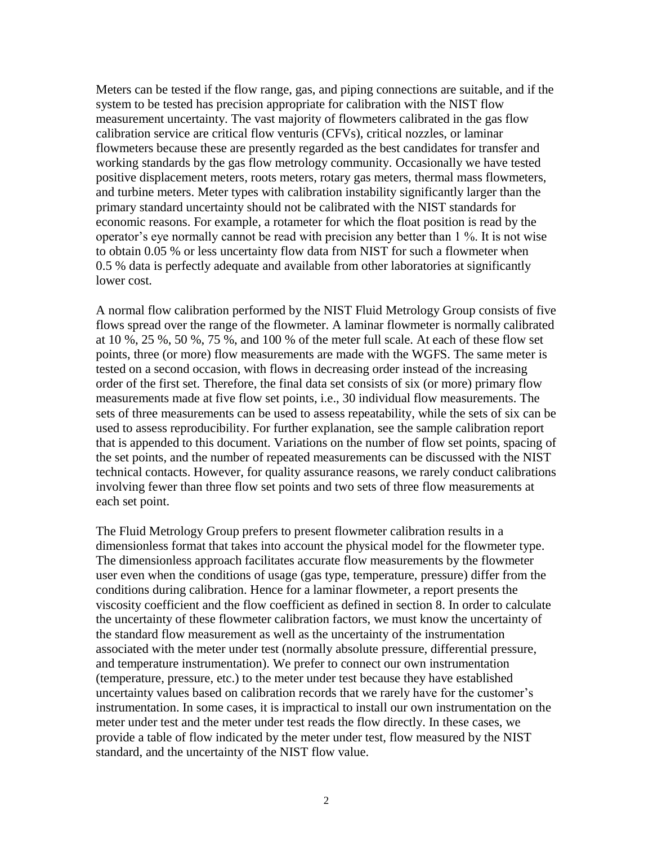Meters can be tested if the flow range, gas, and piping connections are suitable, and if the system to be tested has precision appropriate for calibration with the NIST flow measurement uncertainty. The vast majority of flowmeters calibrated in the gas flow calibration service are critical flow venturis (CFVs), critical nozzles, or laminar flowmeters because these are presently regarded as the best candidates for transfer and working standards by the gas flow metrology community. Occasionally we have tested positive displacement meters, roots meters, rotary gas meters, thermal mass flowmeters, and turbine meters. Meter types with calibration instability significantly larger than the primary standard uncertainty should not be calibrated with the NIST standards for economic reasons. For example, a rotameter for which the float position is read by the operator's eye normally cannot be read with precision any better than 1 %. It is not wise to obtain 0.05 % or less uncertainty flow data from NIST for such a flowmeter when 0.5 % data is perfectly adequate and available from other laboratories at significantly lower cost.

A normal flow calibration performed by the NIST Fluid Metrology Group consists of five flows spread over the range of the flowmeter. A laminar flowmeter is normally calibrated at 10 %, 25 %, 50 %, 75 %, and 100 % of the meter full scale. At each of these flow set points, three (or more) flow measurements are made with the WGFS. The same meter is tested on a second occasion, with flows in decreasing order instead of the increasing order of the first set. Therefore, the final data set consists of six (or more) primary flow measurements made at five flow set points, i.e., 30 individual flow measurements. The sets of three measurements can be used to assess repeatability, while the sets of six can be used to assess reproducibility. For further explanation, see the sample calibration report that is appended to this document. Variations on the number of flow set points, spacing of the set points, and the number of repeated measurements can be discussed with the NIST technical contacts. However, for quality assurance reasons, we rarely conduct calibrations involving fewer than three flow set points and two sets of three flow measurements at each set point.

The Fluid Metrology Group prefers to present flowmeter calibration results in a dimensionless format that takes into account the physical model for the flowmeter type. The dimensionless approach facilitates accurate flow measurements by the flowmeter user even when the conditions of usage (gas type, temperature, pressure) differ from the conditions during calibration. Hence for a laminar flowmeter, a report presents the viscosity coefficient and the flow coefficient as defined in section 8. In order to calculate the uncertainty of these flowmeter calibration factors, we must know the uncertainty of the standard flow measurement as well as the uncertainty of the instrumentation associated with the meter under test (normally absolute pressure, differential pressure, and temperature instrumentation). We prefer to connect our own instrumentation (temperature, pressure, etc.) to the meter under test because they have established uncertainty values based on calibration records that we rarely have for the customer's instrumentation. In some cases, it is impractical to install our own instrumentation on the meter under test and the meter under test reads the flow directly. In these cases, we provide a table of flow indicated by the meter under test, flow measured by the NIST standard, and the uncertainty of the NIST flow value.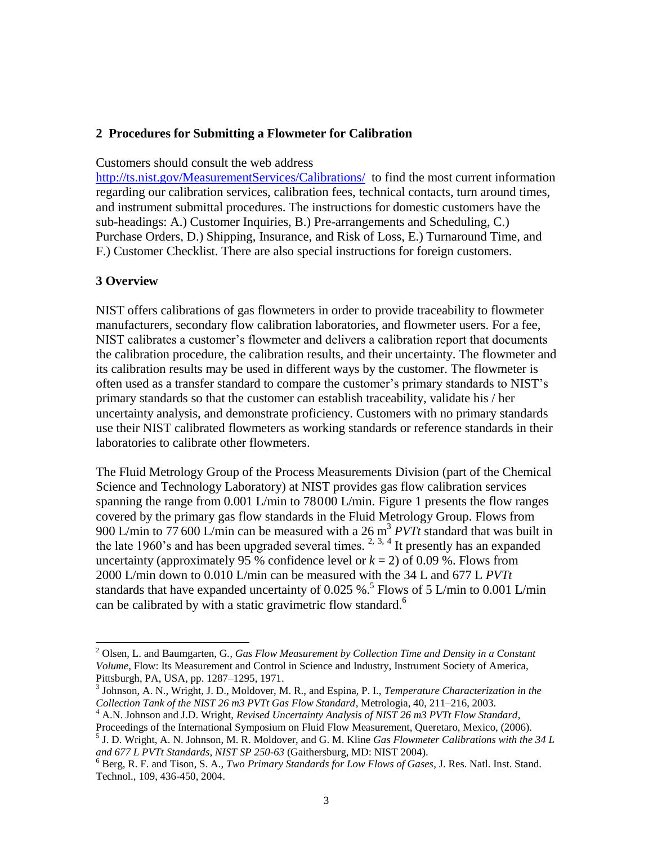#### **2 Procedures for Submitting a Flowmeter for Calibration**

Customers should consult the web address

<http://ts.nist.gov/MeasurementServices/Calibrations/>to find the most current information regarding our calibration services, calibration fees, technical contacts, turn around times, and instrument submittal procedures. The instructions for domestic customers have the sub-headings: A.) Customer Inquiries, B.) Pre-arrangements and Scheduling, C.) Purchase Orders, D.) Shipping, Insurance, and Risk of Loss, E.) Turnaround Time, and F.) Customer Checklist. There are also special instructions for foreign customers.

#### **3 Overview**

<span id="page-4-1"></span>-

NIST offers calibrations of gas flowmeters in order to provide traceability to flowmeter manufacturers, secondary flow calibration laboratories, and flowmeter users. For a fee, NIST calibrates a customer's flowmeter and delivers a calibration report that documents the calibration procedure, the calibration results, and their uncertainty. The flowmeter and its calibration results may be used in different ways by the customer. The flowmeter is often used as a transfer standard to compare the customer's primary standards to NIST's primary standards so that the customer can establish traceability, validate his / her uncertainty analysis, and demonstrate proficiency. Customers with no primary standards use their NIST calibrated flowmeters as working standards or reference standards in their laboratories to calibrate other flowmeters.

<span id="page-4-2"></span><span id="page-4-0"></span>The Fluid Metrology Group of the Process Measurements Division (part of the Chemical Science and Technology Laboratory) at NIST provides gas flow calibration services spanning the range from 0.001 L/min to 78000 L/min. Figure 1 presents the flow ranges covered by the primary gas flow standards in the Fluid Metrology Group. Flows from 900 L/min to 77 600 L/min can be measured with a 26 m<sup>3</sup> *PVTt* standard that was built in the late 1960's and has been upgraded several times.  $2, 3, 4$  It presently has an expanded uncertainty (approximately 95 % confidence level or  $k = 2$ ) of 0.09 %. Flows from 2000 L/min down to 0.010 L/min can be measured with the 34 L and 677 L *PVTt* standards that have expanded uncertainty of 0.025 %.<sup>5</sup> Flows of 5 L/min to 0.001 L/min can be calibrated by with a static gravimetric flow standard.<sup>6</sup>

<sup>2</sup> Olsen, L. and Baumgarten, G*., Gas Flow Measurement by Collection Time and Density in a Constant Volume*, Flow: Its Measurement and Control in Science and Industry, Instrument Society of America, Pittsburgh, PA, USA, pp. 1287–1295, 1971.

<sup>3</sup> Johnson, A. N., Wright, J. D., Moldover, M. R., and Espina, P. I., *Temperature Characterization in the Collection Tank of the NIST 26 m3 PVTt Gas Flow Standard*, Metrologia, 40, 211–216, 2003.

<sup>4</sup> A.N. Johnson and J.D. Wright, *[Revised Uncertainty Analysis of NIST 26 m3 PVTt Flow Standard](http://www.cstl.nist.gov/div836/Group_02/Papers/10%20Revised%20Uncertainty%20Analysis%20of%20NIST%2026%20m3%20PVTt%20Flow%20Standard%20(6th%20ISFFM%203_28_06).pdf)*, Proceedings of the International Symposium on Fluid Flow Measurement, Queretaro, Mexico, (2006).

<sup>5</sup> J. D. Wright, A. N. Johnson, M. R. Moldover, and G. M. Kline *[Gas Flowmeter Calibrations with the 34 L](http://www.cstl.nist.gov/div836/836.01/PDFs/2004/PVTt_sp250.pdf)  [and 677 L PVTt Standards,](http://www.cstl.nist.gov/div836/836.01/PDFs/2004/PVTt_sp250.pdf) NIST SP 250-63* (Gaithersburg, MD: NIST 2004).

<sup>6</sup> Berg, R. F. and Tison, S. A., *Two Primary Standards for Low Flows of Gases*, J. Res. Natl. Inst. Stand. Technol., 109, 436-450, 2004.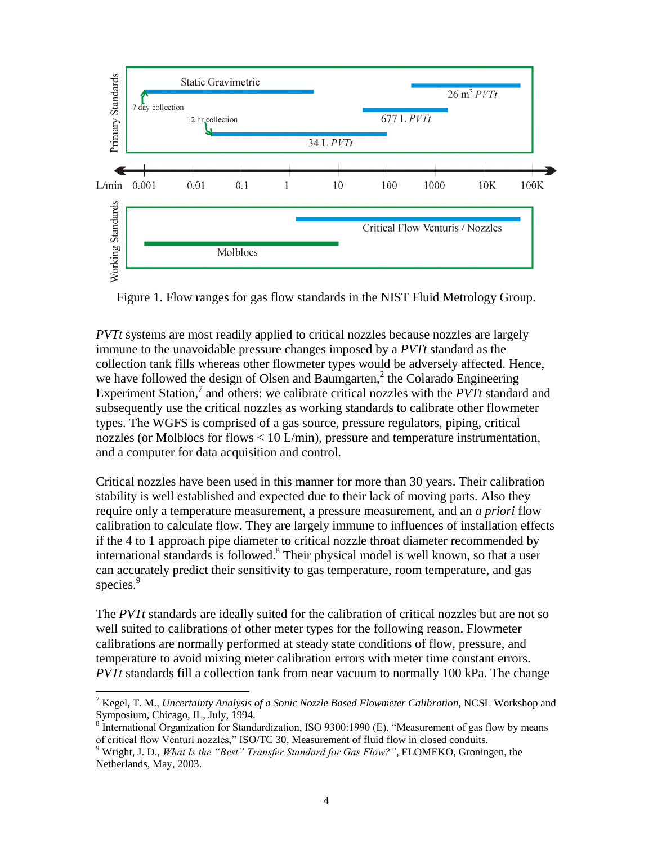

Figure 1. Flow ranges for gas flow standards in the NIST Fluid Metrology Group.

*PVTt* systems are most readily applied to critical nozzles because nozzles are largely immune to the unavoidable pressure changes imposed by a *PVTt* standard as the collection tank fills whereas other flowmeter types would be adversely affected. Hence, we have followed the design of Olsen and Baumgarten[,](#page-4-0)<sup>2</sup> the Colarado Engineering Experiment Station,<sup>7</sup> and others: we calibrate critical nozzles with the *PVTt* standard and subsequently use the critical nozzles as working standards to calibrate other flowmeter types. The WGFS is comprised of a gas source, pressure regulators, piping, critical nozzles (or Molblocs for flows  $< 10$  L/min), pressure and temperature instrumentation, and a computer for data acquisition and control.

Critical nozzles have been used in this manner for more than 30 years. Their calibration stability is well established and expected due to their lack of moving parts. Also they require only a temperature measurement, a pressure measurement, and an *a priori* flow calibration to calculate flow. They are largely immune to influences of installation effects if the 4 to 1 approach pipe diameter to critical nozzle throat diameter recommended by international standards is followed. <sup>8</sup> Their physical model is well known, so that a user can accurately predict their sensitivity to gas temperature, room temperature, and gas species. 9

<span id="page-5-0"></span>The *PVTt* standards are ideally suited for the calibration of critical nozzles but are not so well suited to calibrations of other meter types for the following reason. Flowmeter calibrations are normally performed at steady state conditions of flow, pressure, and temperature to avoid mixing meter calibration errors with meter time constant errors. *PVTt* standards fill a collection tank from near vacuum to normally 100 kPa. The change

-

<sup>7</sup> Kegel, T. M., *Uncertainty Analysis of a Sonic Nozzle Based Flowmeter Calibration*, NCSL Workshop and

Symposium, Chicago, IL, July, 1994. 8 International Organization for Standardization, ISO 9300:1990 (E), "Measurement of gas flow by means of critical flow Venturi nozzles," ISO/TC 30, Measurement of fluid flow in closed conduits.

<sup>9</sup> Wright, J. D., *What Is the "Best" Transfer Standard for Gas Flow?"*, FLOMEKO, Groningen, the Netherlands, May, 2003.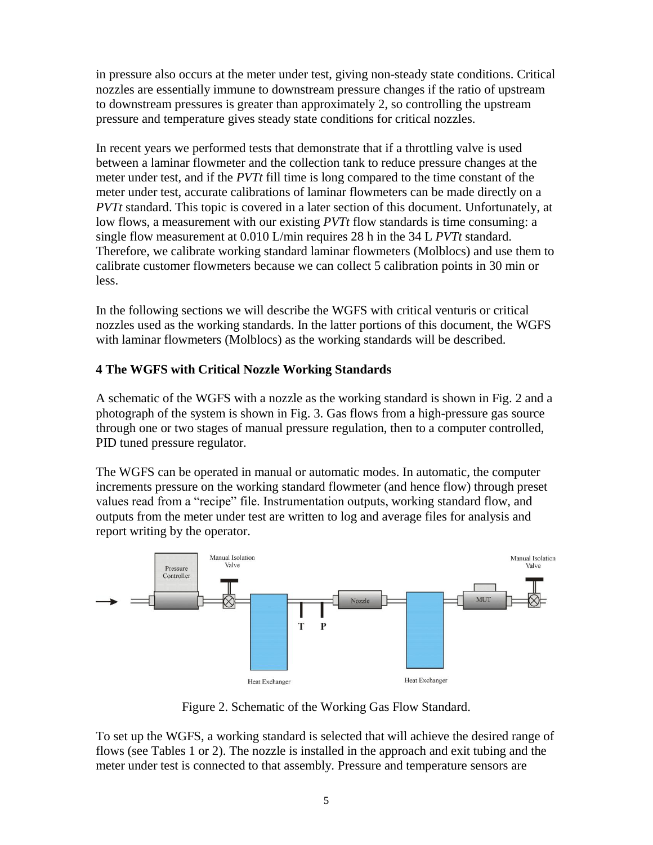in pressure also occurs at the meter under test, giving non-steady state conditions. Critical nozzles are essentially immune to downstream pressure changes if the ratio of upstream to downstream pressures is greater than approximately 2, so controlling the upstream pressure and temperature gives steady state conditions for critical nozzles.

In recent years we performed tests that demonstrate that if a throttling valve is used between a laminar flowmeter and the collection tank to reduce pressure changes at the meter under test, and if the *PVTt* fill time is long compared to the time constant of the meter under test, accurate calibrations of laminar flowmeters can be made directly on a *PVTt* standard. This topic is covered in a later section of this document. Unfortunately, at low flows, a measurement with our existing *PVTt* flow standards is time consuming: a single flow measurement at 0.010 L/min requires 28 h in the 34 L *PVTt* standard. Therefore, we calibrate working standard laminar flowmeters (Molblocs) and use them to calibrate customer flowmeters because we can collect 5 calibration points in 30 min or less.

In the following sections we will describe the WGFS with critical venturis or critical nozzles used as the working standards. In the latter portions of this document, the WGFS with laminar flowmeters (Molblocs) as the working standards will be described.

## **4 The WGFS with Critical Nozzle Working Standards**

A schematic of the WGFS with a nozzle as the working standard is shown in Fig. 2 and a photograph of the system is shown in Fig. 3. Gas flows from a high-pressure gas source through one or two stages of manual pressure regulation, then to a computer controlled, PID tuned pressure regulator.

The WGFS can be operated in manual or automatic modes. In automatic, the computer increments pressure on the working standard flowmeter (and hence flow) through preset values read from a "recipe" file. Instrumentation outputs, working standard flow, and outputs from the meter under test are written to log and average files for analysis and report writing by the operator.



Figure 2. Schematic of the Working Gas Flow Standard.

To set up the WGFS, a working standard is selected that will achieve the desired range of flows (see Tables 1 or 2). The nozzle is installed in the approach and exit tubing and the meter under test is connected to that assembly. Pressure and temperature sensors are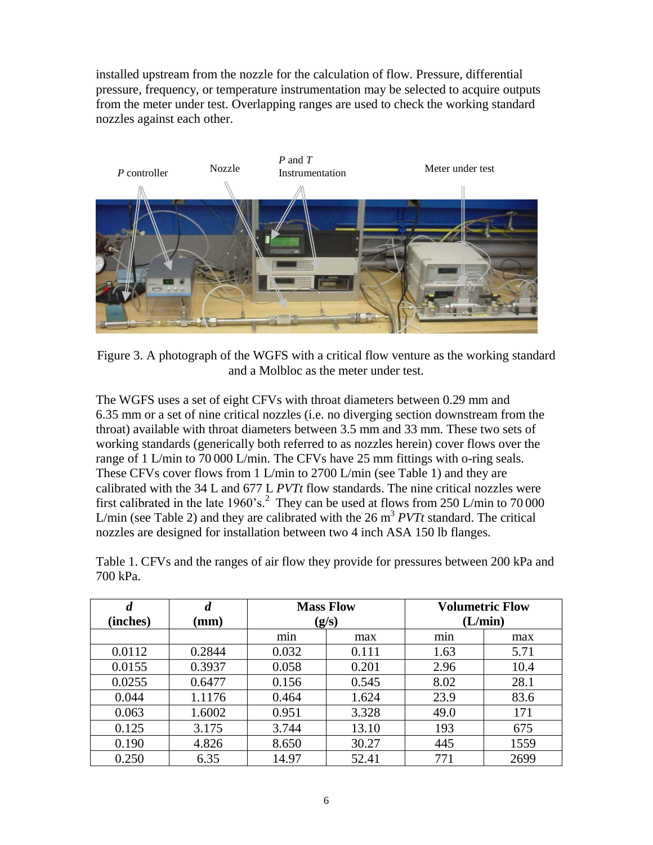installed upstream from the nozzle for the calculation of flow. Pressure, differential pressure, frequency, or temperature instrumentation may be selected to acquire outputs from the meter under test. Overlapping ranges are used to check the working standard nozzles against each other.



Figure 3. A photograph of the WGFS with a critical flow venture as the working standard and a Molbloc as the meter under test.

The WGFS uses a set of eight CFVs with throat diameters between 0.29 mm and 6.35 mm or a set of nine critical nozzles (i.e. no diverging section downstream from the throat) available with throat diameters between 3.5 mm and 33 mm. These two sets of working standards (generically both referred to as nozzles herein) cover flows over the range of 1 L/min to 70 000 L/min. The CFVs have 25 mm fittings with o-ring seals. These CFVs cover flows from 1 L/min to 2700 L/min (see Table 1) and they are calibrated with the 34 L and 677 L *PVTt* flow standards. The nine critical nozzles were first calibrated in the late  $1960$ 's[.](#page-4-0)<sup>2</sup> They can be used at flows from 250 L/min to 70 000 L/min (see Table 2) and they are calibrated with the  $26 \text{ m}^3$  *PVTt* standard. The critical nozzles are designed for installation between two 4 inch ASA 150 lb flanges.

Table 1. CFVs and the ranges of air flow they provide for pressures between 200 kPa and 700 kPa.

| $\boldsymbol{d}$ | $\boldsymbol{d}$ | <b>Mass Flow</b> |       |      | <b>Volumetric Flow</b> |
|------------------|------------------|------------------|-------|------|------------------------|
| (inches)         | $(\mathbf{mm})$  | (g/s)            |       |      | (L/min)                |
|                  |                  | min              | max   | min  | max                    |
| 0.0112           | 0.2844           | 0.032            | 0.111 | 1.63 | 5.71                   |
| 0.0155           | 0.3937           | 0.058            | 0.201 | 2.96 | 10.4                   |
| 0.0255           | 0.6477           | 0.156            | 0.545 | 8.02 | 28.1                   |
| 0.044            | 1.1176           | 0.464            | 1.624 | 23.9 | 83.6                   |
| 0.063            | 1.6002           | 0.951            | 3.328 | 49.0 | 171                    |
| 0.125            | 3.175            | 3.744            | 13.10 | 193  | 675                    |
| 0.190            | 4.826            | 8.650            | 30.27 | 445  | 1559                   |
| 0.250            | 6.35             | 14.97            | 52.41 | 771  | 2699                   |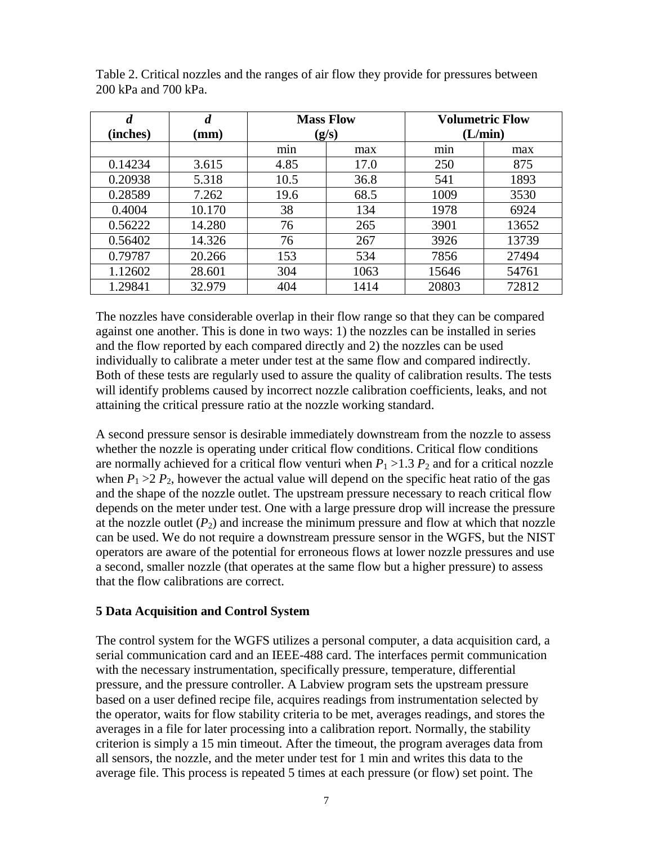| $\boldsymbol{d}$<br>(inches) | $\boldsymbol{d}$<br>$(\mathbf{mm})$ | <b>Mass Flow</b><br>(g/s) |      | <b>Volumetric Flow</b><br>(L/min) |       |
|------------------------------|-------------------------------------|---------------------------|------|-----------------------------------|-------|
|                              |                                     |                           |      |                                   |       |
|                              |                                     | $\cdot$<br>min            | max  | min                               | max   |
| 0.14234                      | 3.615                               | 4.85                      | 17.0 | 250                               | 875   |
| 0.20938                      | 5.318                               | 10.5                      | 36.8 | 541                               | 1893  |
| 0.28589                      | 7.262                               | 19.6                      | 68.5 | 1009                              | 3530  |
| 0.4004                       | 10.170                              | 38                        | 134  | 1978                              | 6924  |
| 0.56222                      | 14.280                              | 76                        | 265  | 3901                              | 13652 |
| 0.56402                      | 14.326                              | 76                        | 267  | 3926                              | 13739 |
| 0.79787                      | 20.266                              | 153                       | 534  | 7856                              | 27494 |
| 1.12602                      | 28.601                              | 304                       | 1063 | 15646                             | 54761 |
| 1.29841                      | 32.979                              | 404                       | 1414 | 20803                             | 72812 |

Table 2. Critical nozzles and the ranges of air flow they provide for pressures between 200 kPa and 700 kPa.

The nozzles have considerable overlap in their flow range so that they can be compared against one another. This is done in two ways: 1) the nozzles can be installed in series and the flow reported by each compared directly and 2) the nozzles can be used individually to calibrate a meter under test at the same flow and compared indirectly. Both of these tests are regularly used to assure the quality of calibration results. The tests will identify problems caused by incorrect nozzle calibration coefficients, leaks, and not attaining the critical pressure ratio at the nozzle working standard.

A second pressure sensor is desirable immediately downstream from the nozzle to assess whether the nozzle is operating under critical flow conditions. Critical flow conditions are normally achieved for a critical flow venturi when  $P_1 > 1.3 P_2$  and for a critical nozzle when  $P_1 > 2 P_2$ , however the actual value will depend on the specific heat ratio of the gas and the shape of the nozzle outlet. The upstream pressure necessary to reach critical flow depends on the meter under test. One with a large pressure drop will increase the pressure at the nozzle outlet  $(P_2)$  and increase the minimum pressure and flow at which that nozzle can be used. We do not require a downstream pressure sensor in the WGFS, but the NIST operators are aware of the potential for erroneous flows at lower nozzle pressures and use a second, smaller nozzle (that operates at the same flow but a higher pressure) to assess that the flow calibrations are correct.

#### **5 Data Acquisition and Control System**

The control system for the WGFS utilizes a personal computer, a data acquisition card, a serial communication card and an IEEE-488 card. The interfaces permit communication with the necessary instrumentation, specifically pressure, temperature, differential pressure, and the pressure controller. A Labview program sets the upstream pressure based on a user defined recipe file, acquires readings from instrumentation selected by the operator, waits for flow stability criteria to be met, averages readings, and stores the averages in a file for later processing into a calibration report. Normally, the stability criterion is simply a 15 min timeout. After the timeout, the program averages data from all sensors, the nozzle, and the meter under test for 1 min and writes this data to the average file. This process is repeated 5 times at each pressure (or flow) set point. The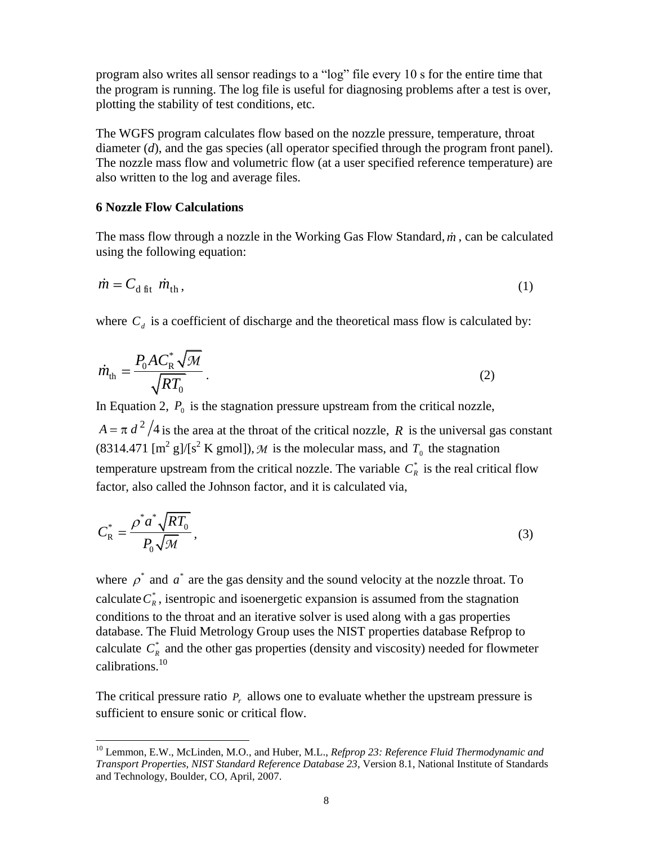program also writes all sensor readings to a "log" file every 10 s for the entire time that the program is running. The log file is useful for diagnosing problems after a test is over, plotting the stability of test conditions, etc.

The WGFS program calculates flow based on the nozzle pressure, temperature, throat diameter (*d*), and the gas species (all operator specified through the program front panel). The nozzle mass flow and volumetric flow (at a user specified reference temperature) are also written to the log and average files.

#### **6 Nozzle Flow Calculations**

-

The mass flow through a nozzle in the Working Gas Flow Standard,  $\dot{m}$ , can be calculated using the following equation:

$$
\dot{m} = C_{\rm d\;fit} \; \dot{m}_{\rm th} \,, \tag{1}
$$

where  $C_d$  is a coefficient of discharge and the theoretical mass flow is calculated by:

$$
\dot{m}_{\rm th} = \frac{P_0 A C_{\rm R}^* \sqrt{\mathcal{M}}}{\sqrt{RT_0}}\,. \tag{2}
$$

In Equation 2,  $P_0$  is the stagnation pressure upstream from the critical nozzle,

 $A = \pi d^2/4$  is the area at the throat of the critical nozzle, R is the universal gas constant (8314.471 [m<sup>2</sup> g]/[s<sup>2</sup> K gmol]), M is the molecular mass, and  $T_0$  the stagnation temperature upstream from the critical nozzle. The variable  $C_R^*$  is the real critical flow factor, also called the Johnson factor, and it is calculated via,

$$
C_{\rm R}^* = \frac{\rho^* a^* \sqrt{RT_0}}{P_0 \sqrt{M}},\tag{3}
$$

where  $\rho^*$  and  $a^*$  are the gas density and the sound velocity at the nozzle throat. To calculate  $C_R^*$ , is entropic and isoenergetic expansion is assumed from the stagnation conditions to the throat and an iterative solver is used along with a gas properties database. The Fluid Metrology Group uses the NIST properties database Refprop to calculate  $C_R^*$  and the other gas properties (density and viscosity) needed for flowmeter calibrations.<sup>10</sup>

<span id="page-9-0"></span>The critical pressure ratio  $P_r$  allows one to evaluate whether the upstream pressure is sufficient to ensure sonic or critical flow.

<sup>10</sup> Lemmon, E.W., McLinden, M.O., and Huber, M.L., *Refprop 23: Reference Fluid Thermodynamic and Transport Properties, NIST Standard Reference Database 23*, Version 8.1, National Institute of Standards and Technology, Boulder, CO, April, 2007.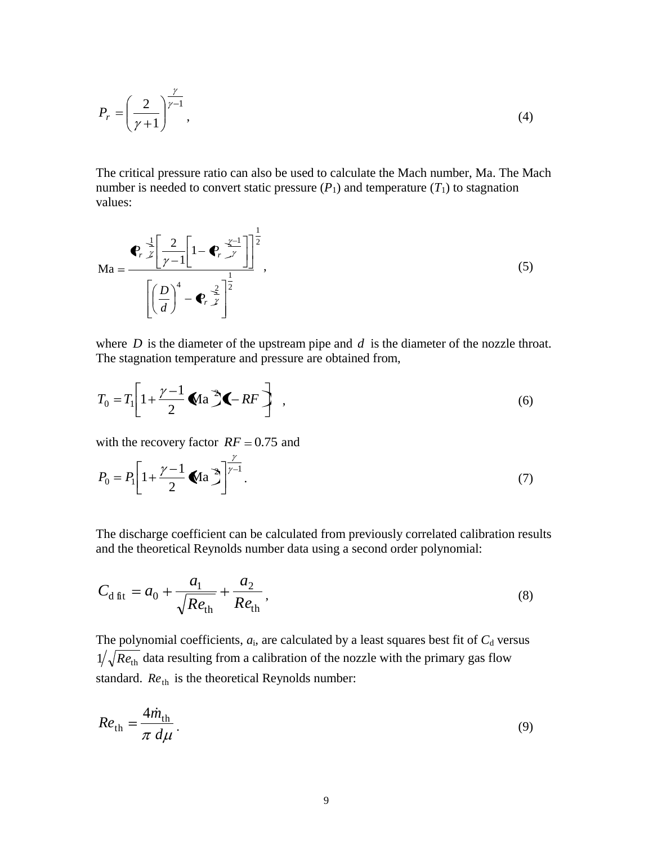$$
P_r = \left(\frac{2}{\gamma + 1}\right)^{\frac{\gamma}{\gamma - 1}},\tag{4}
$$

The critical pressure ratio can also be used to calculate the Mach number, Ma. The Mach number is needed to convert static pressure  $(P_1)$  and temperature  $(T_1)$  to stagnation values:

$$
\mathbf{M}\mathbf{a} = \frac{\mathbf{e}_r \frac{1}{\gamma} \left[ \frac{2}{\gamma - 1} \left[ 1 - \mathbf{e}_r \frac{\gamma - 1}{\gamma} \right] \right]^{\frac{1}{2}}}{\left[ \left( \frac{D}{d} \right)^4 - \mathbf{e}_r \frac{2}{\gamma} \right]^{\frac{1}{2}}},\tag{5}
$$

where  $D$  is the diameter of the upstream pipe and  $d$  is the diameter of the nozzle throat. The stagnation temperature and pressure are obtained from,

$$
T_0 = T_1 \left[ 1 + \frac{\gamma - 1}{2} \blacklozenge \text{Aa} \, \blacktriangleright \text{A} - RF \right] \tag{6}
$$

with the recovery factor  $RF = 0.75$  and

$$
P_0 = P_1 \left[ 1 + \frac{\gamma - 1}{2} \blacktriangleleft \mathbf{a} \, \mathbf{b} \right] \bigg]^{\frac{\gamma}{\gamma - 1}}. \tag{7}
$$

The discharge coefficient can be calculated from previously correlated calibration results and the theoretical Reynolds number data using a second order polynomial:

$$
C_{\rm d\,fit} = a_0 + \frac{a_1}{\sqrt{Re_{\rm th}}} + \frac{a_2}{Re_{\rm th}},\tag{8}
$$

The polynomial coefficients,  $a_i$ , are calculated by a least squares best fit of  $C_d$  versus  $1/\sqrt{Re_{\text{th}}}$  data resulting from a calibration of the nozzle with the primary gas flow standard. *Re*<sub>th</sub> is the theoretical Reynolds number:

$$
Re_{\rm th} = \frac{4\dot{m}_{\rm th}}{\pi \, d\mu} \,. \tag{9}
$$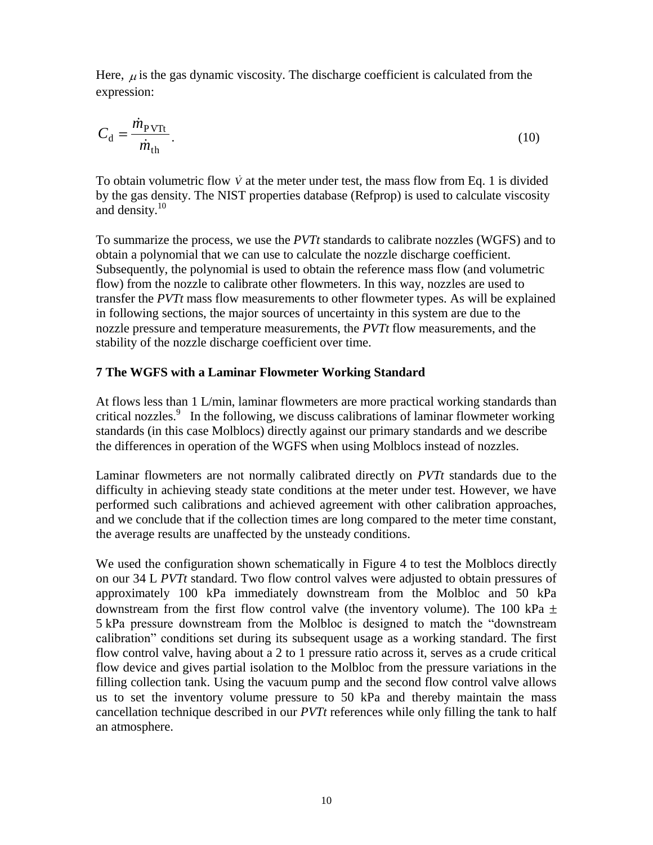Here,  $\mu$  is the gas dynamic viscosity. The discharge coefficient is calculated from the expression:

$$
C_{\rm d} = \frac{\dot{m}_{\rm PVTt}}{\dot{m}_{\rm th}}.\tag{10}
$$

To obtain volumetric flow  $\dot{V}$  at the meter under test, the mass flow from Eq. 1 is divided by the gas density. The NIST properties database (Refprop) is used to calculate viscosity and density. [10](#page-9-0)

To summarize the process, we use the *PVTt* standards to calibrate nozzles (WGFS) and to obtain a polynomial that we can use to calculate the nozzle discharge coefficient. Subsequently, the polynomial is used to obtain the reference mass flow (and volumetric flow) from the nozzle to calibrate other flowmeters. In this way, nozzles are used to transfer the *PVTt* mass flow measurements to other flowmeter types. As will be explained in following sections, the major sources of uncertainty in this system are due to the nozzle pressure and temperature measurements, the *PVTt* flow measurements, and the stability of the nozzle discharge coefficient over time.

## **7 The WGFS with a Laminar Flowmeter Working Standard**

At flows less than 1 L/min, laminar flowmeters are more practical working standards than criticalnozzles.<sup>9</sup> In the following, we discuss calibrations of laminar flowmeter working standards (in this case Molblocs) directly against our primary standards and we describe the differences in operation of the WGFS when using Molblocs instead of nozzles.

Laminar flowmeters are not normally calibrated directly on *PVTt* standards due to the difficulty in achieving steady state conditions at the meter under test. However, we have performed such calibrations and achieved agreement with other calibration approaches, and we conclude that if the collection times are long compared to the meter time constant, the average results are unaffected by the unsteady conditions.

We used the configuration shown schematically in Figure 4 to test the Molblocs directly on our 34 L *PVTt* standard. Two flow control valves were adjusted to obtain pressures of approximately 100 kPa immediately downstream from the Molbloc and 50 kPa downstream from the first flow control valve (the inventory volume). The 100 kPa  $\pm$ 5 kPa pressure downstream from the Molbloc is designed to match the "downstream calibration" conditions set during its subsequent usage as a working standard. The first flow control valve, having about a 2 to 1 pressure ratio across it, serves as a crude critical flow device and gives partial isolation to the Molbloc from the pressure variations in the filling collection tank. Using the vacuum pump and the second flow control valve allows us to set the inventory volume pressure to 50 kPa and thereby maintain the mass cancellation technique described in our *PVTt* references while only filling the tank to half an atmosphere.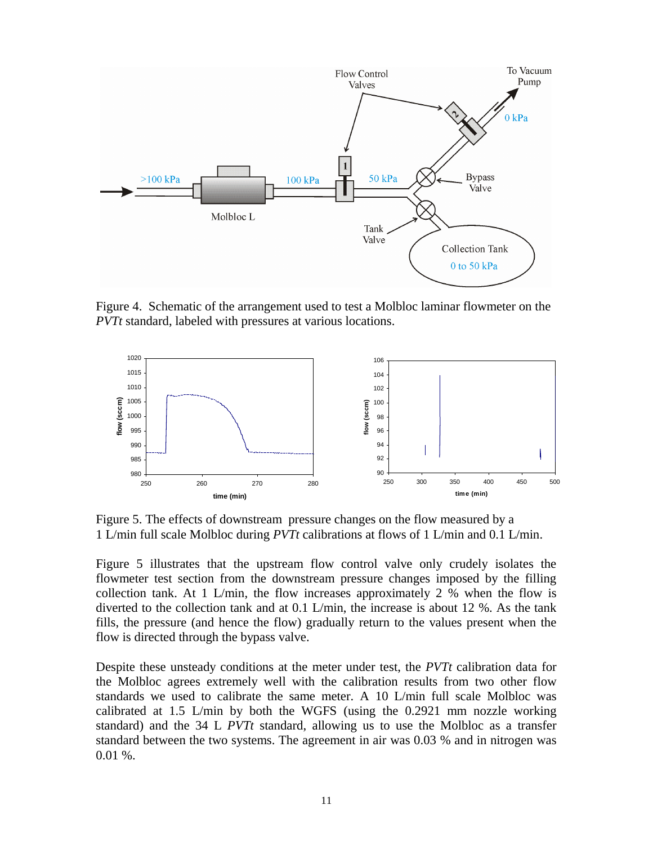

Figure 4. Schematic of the arrangement used to test a Molbloc laminar flowmeter on the *PVTt* standard, labeled with pressures at various locations.



Figure 5. The effects of downstream pressure changes on the flow measured by a 1 L/min full scale Molbloc during *PVTt* calibrations at flows of 1 L/min and 0.1 L/min.

Figure 5 illustrates that the upstream flow control valve only crudely isolates the flowmeter test section from the downstream pressure changes imposed by the filling collection tank. At 1 L/min, the flow increases approximately 2 % when the flow is diverted to the collection tank and at 0.1 L/min, the increase is about 12 %. As the tank fills, the pressure (and hence the flow) gradually return to the values present when the flow is directed through the bypass valve.

Despite these unsteady conditions at the meter under test, the *PVTt* calibration data for the Molbloc agrees extremely well with the calibration results from two other flow standards we used to calibrate the same meter. A 10 L/min full scale Molbloc was calibrated at 1.5 L/min by both the WGFS (using the 0.2921 mm nozzle working standard) and the 34 L *PVTt* standard, allowing us to use the Molbloc as a transfer standard between the two systems. The agreement in air was 0.03 % and in nitrogen was 0.01 %.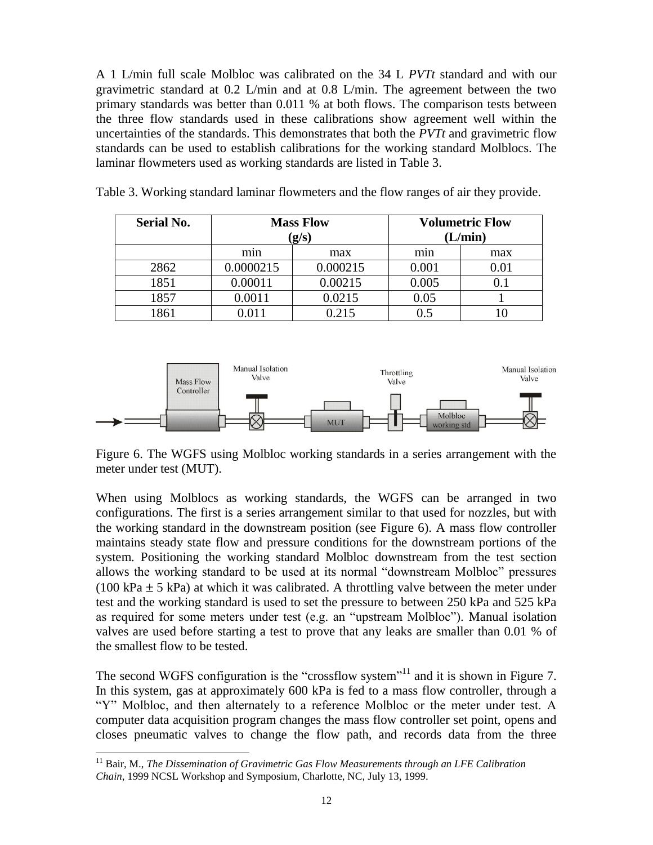A 1 L/min full scale Molbloc was calibrated on the 34 L *PVTt* standard and with our gravimetric standard at  $0.2$  L/min and at  $0.8$  L/min. The agreement between the two primary standards was better than 0.011 % at both flows. The comparison tests between the three flow standards used in these calibrations show agreement well within the uncertainties of the standards. This demonstrates that both the *PVTt* and gravimetric flow standards can be used to establish calibrations for the working standard Molblocs. The laminar flowmeters used as working standards are listed in Table 3.

| <b>Serial No.</b> | <b>Mass Flow</b> |          | <b>Volumetric Flow</b> |     |         |
|-------------------|------------------|----------|------------------------|-----|---------|
|                   | (g/s)            |          |                        |     | (L/min) |
|                   | min              | max      | min                    | max |         |
| 2862              | 0.0000215        | 0.000215 | 0.001                  |     |         |
| 1851              | 0.00011          | 0.00215  | 0.005                  |     |         |
| 1857              | 0.0011           | 0.0215   | 0.05                   |     |         |
| 1861              |                  | 0.215    |                        |     |         |

Table 3. Working standard laminar flowmeters and the flow ranges of air they provide.



Figure 6. The WGFS using Molbloc working standards in a series arrangement with the meter under test (MUT).

When using Molblocs as working standards, the WGFS can be arranged in two configurations. The first is a series arrangement similar to that used for nozzles, but with the working standard in the downstream position (see Figure 6). A mass flow controller maintains steady state flow and pressure conditions for the downstream portions of the system. Positioning the working standard Molbloc downstream from the test section allows the working standard to be used at its normal "downstream Molbloc" pressures (100 kPa  $\pm$  5 kPa) at which it was calibrated. A throttling valve between the meter under test and the working standard is used to set the pressure to between 250 kPa and 525 kPa as required for some meters under test (e.g. an "upstream Molbloc"). Manual isolation valves are used before starting a test to prove that any leaks are smaller than 0.01 % of the smallest flow to be tested.

The second WGFS configuration is the "crossflow system"<sup>11</sup> and it is shown in Figure 7. In this system, gas at approximately 600 kPa is fed to a mass flow controller, through a "Y" Molbloc, and then alternately to a reference Molbloc or the meter under test. A computer data acquisition program changes the mass flow controller set point, opens and closes pneumatic valves to change the flow path, and records data from the three

-

<sup>&</sup>lt;sup>11</sup> Bair, M., *The Dissemination of Gravimetric Gas Flow Measurements through an LFE Calibration Chain*, 1999 NCSL Workshop and Symposium, Charlotte, NC, July 13, 1999.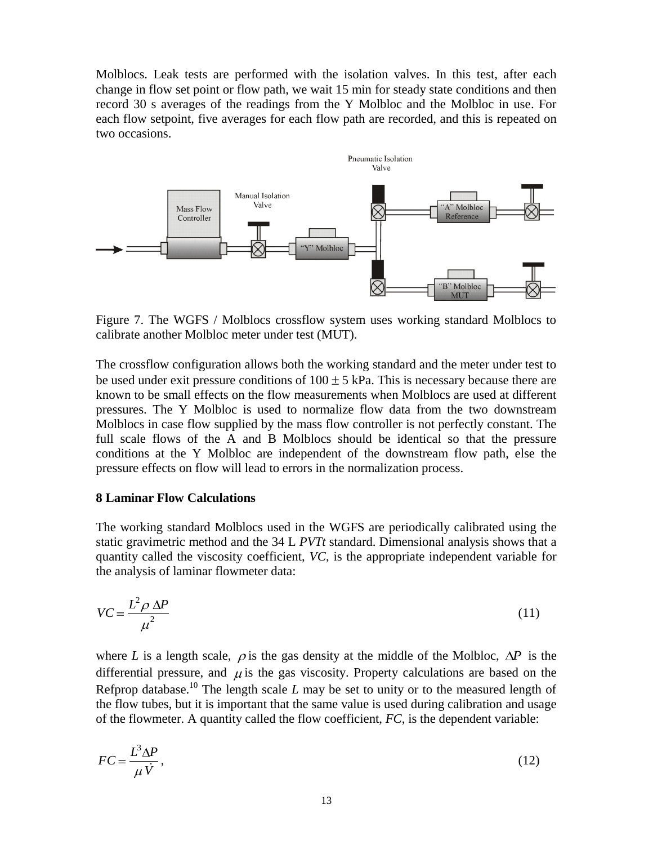Molblocs. Leak tests are performed with the isolation valves. In this test, after each change in flow set point or flow path, we wait 15 min for steady state conditions and then record 30 s averages of the readings from the Y Molbloc and the Molbloc in use. For each flow setpoint, five averages for each flow path are recorded, and this is repeated on two occasions.



Figure 7. The WGFS / Molblocs crossflow system uses working standard Molblocs to calibrate another Molbloc meter under test (MUT).

The crossflow configuration allows both the working standard and the meter under test to be used under exit pressure conditions of  $100 \pm 5$  kPa. This is necessary because there are known to be small effects on the flow measurements when Molblocs are used at different pressures. The Y Molbloc is used to normalize flow data from the two downstream Molblocs in case flow supplied by the mass flow controller is not perfectly constant. The full scale flows of the A and B Molblocs should be identical so that the pressure conditions at the Y Molbloc are independent of the downstream flow path, else the pressure effects on flow will lead to errors in the normalization process.

#### **8 Laminar Flow Calculations**

The working standard Molblocs used in the WGFS are periodically calibrated using the static gravimetric method and the 34 L *PVTt* standard. Dimensional analysis shows that a quantity called the viscosity coefficient, *VC*, is the appropriate independent variable for the analysis of laminar flowmeter data:

$$
VC = \frac{L^2 \rho \Delta P}{\mu^2} \tag{11}
$$

where *L* is a length scale,  $\rho$  is the gas density at the middle of the Molbloc,  $\Delta P$  is the differential pressure, and  $\mu$  is the gas viscosity. Property calculations are based on the Refprop database.<sup>[10](#page-9-0)</sup> The length scale *L* may be set to unity or to the measured length of the flow tubes, but it is important that the same value is used during calibration and usage of the flowmeter. A quantity called the flow coefficient, *FC*, is the dependent variable:

$$
FC = \frac{L^3 \Delta P}{\mu \dot{V}},\tag{12}
$$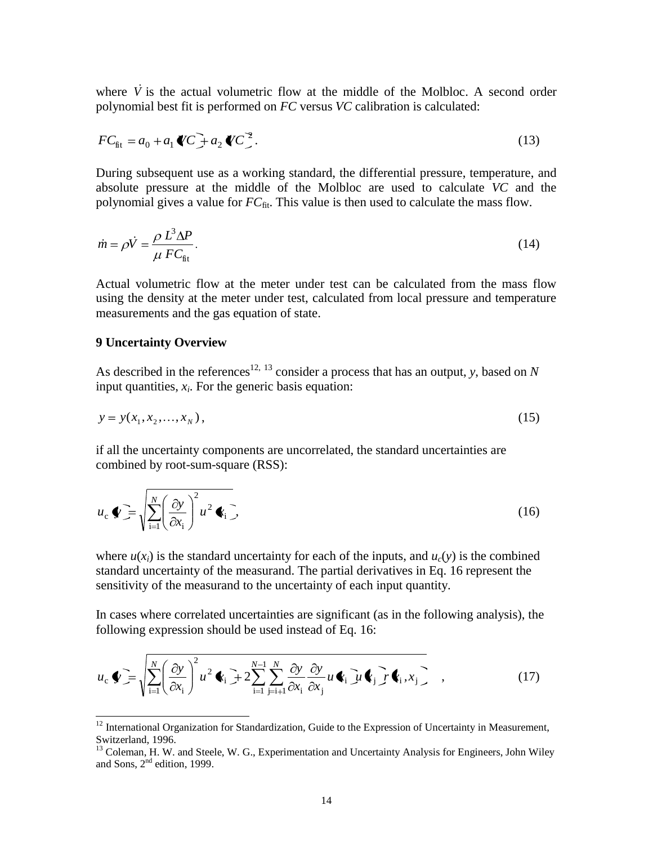where  $\dot{V}$  is the actual volumetric flow at the middle of the Molbloc. A second order polynomial best fit is performed on *FC* versus *VC* calibration is calculated:

$$
FC_{\text{fit}} = a_0 + a_1 \mathbf{C} + a_2 \mathbf{C}^2. \tag{13}
$$

During subsequent use as a working standard, the differential pressure, temperature, and absolute pressure at the middle of the Molbloc are used to calculate *VC* and the polynomial gives a value for  $FC_{fit}$ . This value is then used to calculate the mass flow.

$$
\dot{m} = \rho \dot{V} = \frac{\rho L^3 \Delta P}{\mu F C_{\text{fit}}}.
$$
\n(14)

Actual volumetric flow at the meter under test can be calculated from the mass flow using the density at the meter under test, calculated from local pressure and temperature measurements and the gas equation of state.

#### **9 Uncertainty Overview**

-

As described in the references<sup>12, 13</sup> consider a process that has an output, *y*, based on *N* input quantities, *x<sup>i</sup>* . For the generic basis equation:

$$
y = y(x_1, x_2, \dots, x_N),
$$
\n(15)

if all the uncertainty components are uncorrelated, the standard uncertainties are combined by root-sum-square (RSS):

$$
u_{\rm c} \blacklozenge \equiv \sqrt{\sum_{\rm i=1}^{N} \left(\frac{\partial y}{\partial x_{\rm i}}\right)^2 u^2} \blacklozenge_{\rm i} \, , \tag{16}
$$

where  $u(x_i)$  is the standard uncertainty for each of the inputs, and  $u_c(y)$  is the combined standard uncertainty of the measurand. The partial derivatives in Eq. 16 represent the sensitivity of the measurand to the uncertainty of each input quantity.

In cases where correlated uncertainties are significant (as in the following analysis), the following expression should be used instead of Eq. 16:

$$
u_{\rm c} \blacklozenge \mathbf{F} = \sqrt{\sum_{i=1}^{N} \left( \frac{\partial y}{\partial x_{\rm i}} \right)^2 u^2 \blacklozenge_{\rm i}} + 2 \sum_{i=1}^{N-1} \sum_{j=i+1}^{N} \frac{\partial y}{\partial x_{\rm i}} \frac{\partial y}{\partial x_{\rm j}} u \blacklozenge_{\rm i} \mathbf{F} \blacklozenge_{\rm i}} \mathbf{F} \blacklozenge_{\rm i} \mathbf{F} \blacklozenge_{\rm i} \mathbf{F} \blacklozenge_{\rm i}} \quad , \tag{17}
$$

 $12$  International Organization for Standardization, Guide to the Expression of Uncertainty in Measurement, Switzerland, 1996.

<sup>&</sup>lt;sup>13</sup> Coleman, H. W. and Steele, W. G., Experimentation and Uncertainty Analysis for Engineers, John Wiley and Sons, 2nd edition, 1999.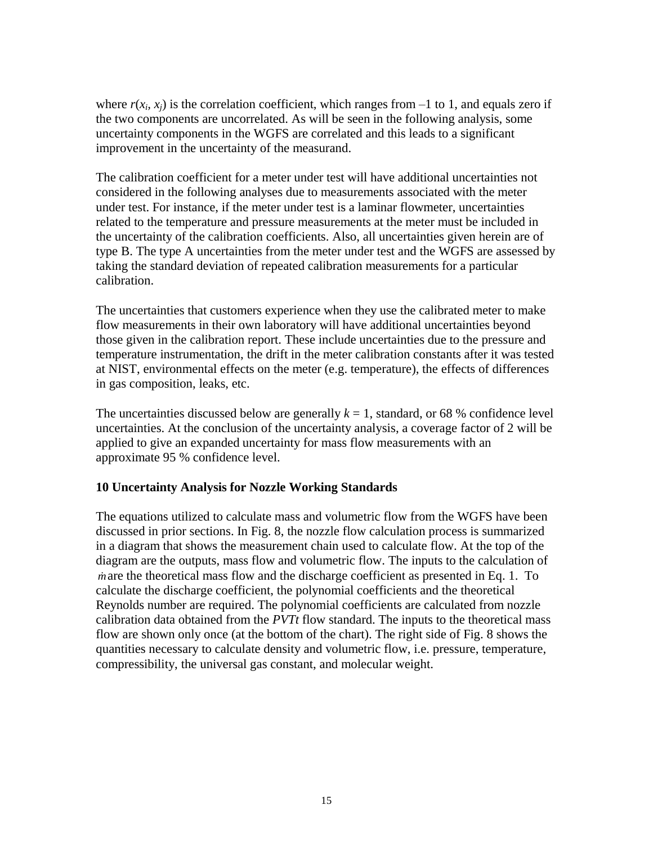where  $r(x_i, x_j)$  is the correlation coefficient, which ranges from  $-1$  to 1, and equals zero if the two components are uncorrelated. As will be seen in the following analysis, some uncertainty components in the WGFS are correlated and this leads to a significant improvement in the uncertainty of the measurand.

The calibration coefficient for a meter under test will have additional uncertainties not considered in the following analyses due to measurements associated with the meter under test. For instance, if the meter under test is a laminar flowmeter, uncertainties related to the temperature and pressure measurements at the meter must be included in the uncertainty of the calibration coefficients. Also, all uncertainties given herein are of type B. The type A uncertainties from the meter under test and the WGFS are assessed by taking the standard deviation of repeated calibration measurements for a particular calibration.

The uncertainties that customers experience when they use the calibrated meter to make flow measurements in their own laboratory will have additional uncertainties beyond those given in the calibration report. These include uncertainties due to the pressure and temperature instrumentation, the drift in the meter calibration constants after it was tested at NIST, environmental effects on the meter (e.g. temperature), the effects of differences in gas composition, leaks, etc.

The uncertainties discussed below are generally  $k = 1$ , standard, or 68 % confidence level uncertainties. At the conclusion of the uncertainty analysis, a coverage factor of 2 will be applied to give an expanded uncertainty for mass flow measurements with an approximate 95 % confidence level.

#### **10 Uncertainty Analysis for Nozzle Working Standards**

The equations utilized to calculate mass and volumetric flow from the WGFS have been discussed in prior sections. In Fig. 8, the nozzle flow calculation process is summarized in a diagram that shows the measurement chain used to calculate flow. At the top of the diagram are the outputs, mass flow and volumetric flow. The inputs to the calculation of *m* are the theoretical mass flow and the discharge coefficient as presented in Eq. 1. To calculate the discharge coefficient, the polynomial coefficients and the theoretical Reynolds number are required. The polynomial coefficients are calculated from nozzle calibration data obtained from the *PVTt* flow standard. The inputs to the theoretical mass flow are shown only once (at the bottom of the chart). The right side of Fig. 8 shows the quantities necessary to calculate density and volumetric flow, i.e. pressure, temperature, compressibility, the universal gas constant, and molecular weight.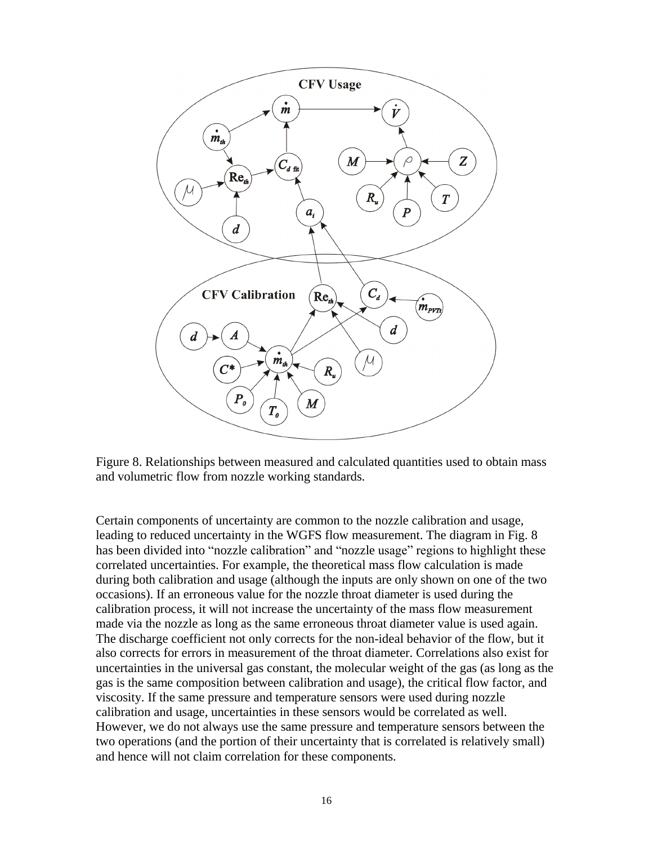

Figure 8. Relationships between measured and calculated quantities used to obtain mass and volumetric flow from nozzle working standards.

Certain components of uncertainty are common to the nozzle calibration and usage, leading to reduced uncertainty in the WGFS flow measurement. The diagram in Fig. 8 has been divided into "nozzle calibration" and "nozzle usage" regions to highlight these correlated uncertainties. For example, the theoretical mass flow calculation is made during both calibration and usage (although the inputs are only shown on one of the two occasions). If an erroneous value for the nozzle throat diameter is used during the calibration process, it will not increase the uncertainty of the mass flow measurement made via the nozzle as long as the same erroneous throat diameter value is used again. The discharge coefficient not only corrects for the non-ideal behavior of the flow, but it also corrects for errors in measurement of the throat diameter. Correlations also exist for uncertainties in the universal gas constant, the molecular weight of the gas (as long as the gas is the same composition between calibration and usage), the critical flow factor, and viscosity. If the same pressure and temperature sensors were used during nozzle calibration and usage, uncertainties in these sensors would be correlated as well. However, we do not always use the same pressure and temperature sensors between the two operations (and the portion of their uncertainty that is correlated is relatively small) and hence will not claim correlation for these components.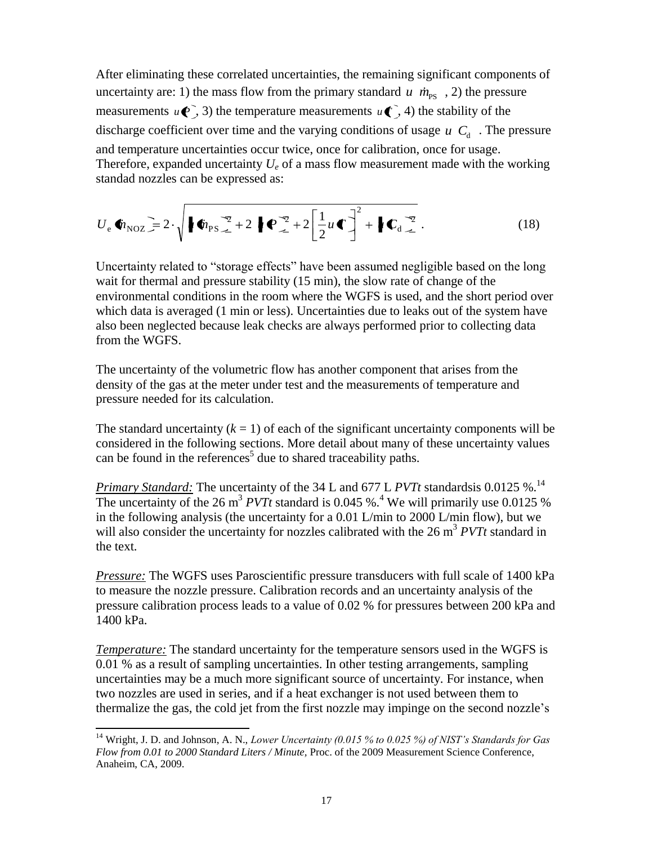After eliminating these correlated uncertainties, the remaining significant components of uncertainty are: 1) the mass flow from the primary standard  $u \dot{m}_{\text{PS}}$ , 2) the pressure measurements  $u(\mathbf{P}, 3)$  the temperature measurements  $u(\mathbf{P}, 4)$  the stability of the discharge coefficient over time and the varying conditions of usage  $u \, C_d$ . The pressure and temperature uncertainties occur twice, once for calibration, once for usage. Therefore, expanded uncertainty  $U_e$  of a mass flow measurement made with the working standad nozzles can be expressed as:

$$
U_{\rm e} \Phi_{\rm NOZ} = 2 \cdot \sqrt{\frac{\omega_{\rm PS} \cdot 2 + 2 \sqrt{2 + 2 \left[\frac{1}{2} u \cdot \frac{v}{2}\right]^2 + \sqrt{C_d \cdot 2}}{2}} \,. \tag{18}
$$

Uncertainty related to "storage effects" have been assumed negligible based on the long wait for thermal and pressure stability (15 min), the slow rate of change of the environmental conditions in the room where the WGFS is used, and the short period over which data is averaged (1 min or less). Uncertainties due to leaks out of the system have also been neglected because leak checks are always performed prior to collecting data from the WGFS.

The uncertainty of the volumetric flow has another component that arises from the density of the gas at the meter under test and the measurements of temperature and pressure needed for its calculation.

The standard uncertainty  $(k = 1)$  of each of the significant uncertainty components will be considered in the following sections. More detail about many of these uncertainty values can be found in the references<sup>[5](#page-4-1)</sup> due to shared traceability paths.

*Primary Standard:* The uncertainty of the 34 L and 677 L *PVTt* standardsis 0.0125 %. 14 The uncertainty of the 26 m<sup>3</sup> *PVTt* standard is 0.0[4](#page-4-2)5 %.<sup>4</sup> We will primarily use 0.0125 % in the following analysis (the uncertainty for a 0.01 L/min to 2000 L/min flow), but we will also consider the uncertainty for nozzles calibrated with the 26 m<sup>3</sup> *PVTt* standard in the text.

*Pressure:* The WGFS uses Paroscientific pressure transducers with full scale of 1400 kPa to measure the nozzle pressure. Calibration records and an uncertainty analysis of the pressure calibration process leads to a value of 0.02 % for pressures between 200 kPa and 1400 kPa.

*Temperature:* The standard uncertainty for the temperature sensors used in the WGFS is 0.01 % as a result of sampling uncertainties. In other testing arrangements, sampling uncertainties may be a much more significant source of uncertainty. For instance, when two nozzles are used in series, and if a heat exchanger is not used between them to thermalize the gas, the cold jet from the first nozzle may impinge on the second nozzle's

 $\overline{a}$ 

<sup>&</sup>lt;sup>14</sup> Wright, J. D. and Johnson, A. N., *Lower Uncertainty (0.015 % to 0.025 %) of NIST's Standards for Gas Flow from 0.01 to 2000 Standard Liters / Minute,* Proc. of the 2009 Measurement Science Conference, Anaheim, CA, 2009.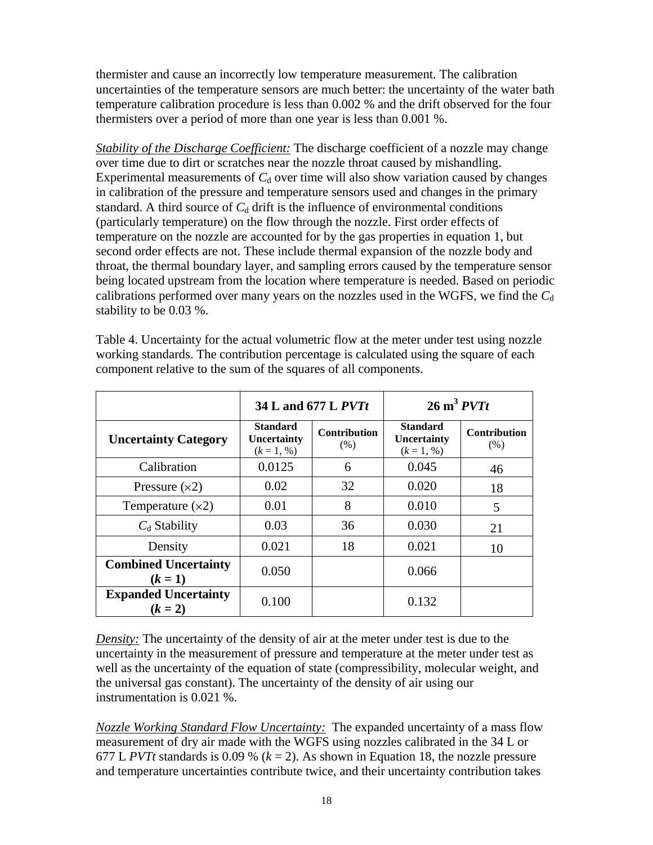thermister and cause an incorrectly low temperature measurement. The calibration uncertainties of the temperature sensors are much better: the uncertainty of the water bath temperature calibration procedure is less than 0.002 % and the drift observed for the four thermisters over a period of more than one year is less than 0.001 %.

*Stability of the Discharge Coefficient:* The discharge coefficient of a nozzle may change over time due to dirt or scratches near the nozzle throat caused by mishandling. Experimental measurements of  $C<sub>d</sub>$  over time will also show variation caused by changes in calibration of the pressure and temperature sensors used and changes in the primary standard. A third source of  $C_d$  drift is the influence of environmental conditions (particularly temperature) on the flow through the nozzle. First order effects of temperature on the nozzle are accounted for by the gas properties in equation 1, but second order effects are not. These include thermal expansion of the nozzle body and throat, the thermal boundary layer, and sampling errors caused by the temperature sensor being located upstream from the location where temperature is needed. Based on periodic calibrations performed over many years on the nozzles used in the WGFS, we find the  $C_d$ stability to be 0.03 %.

|                                          |                                                | 34 L and 677 L <i>PVTt</i>  | $26 \text{ m}^3$ $PVTt$                        |                             |  |
|------------------------------------------|------------------------------------------------|-----------------------------|------------------------------------------------|-----------------------------|--|
| <b>Uncertainty Category</b>              | <b>Standard</b><br>Uncertainty<br>$(k = 1, %)$ | <b>Contribution</b><br>(% ) | <b>Standard</b><br>Uncertainty<br>$(k = 1, %)$ | <b>Contribution</b><br>(% ) |  |
| Calibration                              | 0.0125                                         | 6                           | 0.045                                          | 46                          |  |
| Pressure $(x2)$                          | 0.02                                           | 32                          | 0.020                                          | 18                          |  |
| Temperature $(x2)$                       | 0.01                                           | 8                           | 0.010                                          | 5                           |  |
| $C_d$ Stability                          | 0.03                                           | 36                          | 0.030                                          | 21                          |  |
| Density                                  | 0.021                                          | 18                          | 0.021                                          | 10                          |  |
| <b>Combined Uncertainty</b><br>$(k = 1)$ | 0.050                                          |                             | 0.066                                          |                             |  |
| <b>Expanded Uncertainty</b><br>$(k = 2)$ | 0.100                                          |                             | 0.132                                          |                             |  |

Table 4. Uncertainty for the actual volumetric flow at the meter under test using nozzle working standards. The contribution percentage is calculated using the square of each component relative to the sum of the squares of all components.

*Density:* The uncertainty of the density of air at the meter under test is due to the uncertainty in the measurement of pressure and temperature at the meter under test as well as the uncertainty of the equation of state (compressibility, molecular weight, and the universal gas constant). The uncertainty of the density of air using our instrumentation is 0.021 %.

*Nozzle Working Standard Flow Uncertainty:* The expanded uncertainty of a mass flow measurement of dry air made with the WGFS using nozzles calibrated in the 34 L or 677 L *PVTt* standards is 0.09 %  $(k = 2)$ . As shown in Equation 18, the nozzle pressure and temperature uncertainties contribute twice, and their uncertainty contribution takes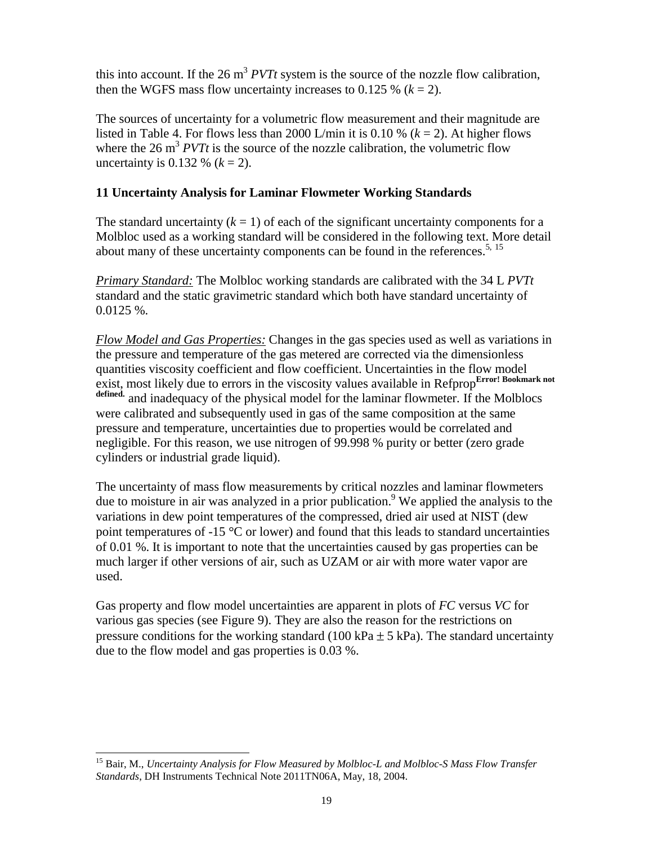this into account. If the 26  $m^3$  *PVTt* system is the source of the nozzle flow calibration, then the WGFS mass flow uncertainty increases to  $0.125\%$  ( $k = 2$ ).

The sources of uncertainty for a volumetric flow measurement and their magnitude are listed in Table 4. For flows less than 2000 L/min it is 0.10 %  $(k = 2)$ . At higher flows where the  $26 \text{ m}^3$  *PVTt* is the source of the nozzle calibration, the volumetric flow uncertainty is 0.132 %  $(k = 2)$ .

## **11 Uncertainty Analysis for Laminar Flowmeter Working Standards**

The standard uncertainty  $(k = 1)$  of each of the significant uncertainty components for a Molbloc used as a working standard will be considered in the following text. More detail about many of these uncertainty components can be found in the references.<sup>[5,](#page-4-1) 15</sup>

*Primary Standard:* The Molbloc working standards are calibrated with the 34 L *PVTt* standard and the static gravimetric standard which both have standard uncertainty of 0.0125 %.

*Flow Model and Gas Properties:* Changes in the gas species used as well as variations in the pressure and temperature of the gas metered are corrected via the dimensionless quantities viscosity coefficient and flow coefficient. Uncertainties in the flow model exist, most likely due to errors in the viscosity values available in Refprop<sup>Error! Bookmark not</sup> **defined.** and inadequacy of the physical model for the laminar flowmeter. If the Molblocs were calibrated and subsequently used in gas of the same composition at the same pressure and temperature, uncertainties due to properties would be correlated and negligible. For this reason, we use nitrogen of 99.998 % purity or better (zero grade cylinders or industrial grade liquid).

The uncertainty of mass flow measurements by critical nozzles and laminar flowmeters due to moisture in air was analyzed in a prior publication. [9](#page-5-0) We applied the analysis to the variations in dew point temperatures of the compressed, dried air used at NIST (dew point temperatures of  $-15 \,^{\circ}\text{C}$  or lower) and found that this leads to standard uncertainties of 0.01 %. It is important to note that the uncertainties caused by gas properties can be much larger if other versions of air, such as UZAM or air with more water vapor are used.

Gas property and flow model uncertainties are apparent in plots of *FC* versus *VC* for various gas species (see Figure 9). They are also the reason for the restrictions on pressure conditions for the working standard (100 kPa  $\pm$  5 kPa). The standard uncertainty due to the flow model and gas properties is 0.03 %.

-

<sup>15</sup> Bair, M., *Uncertainty Analysis for Flow Measured by Molbloc-L and Molbloc-S Mass Flow Transfer Standards*, DH Instruments Technical Note 2011TN06A, May, 18, 2004.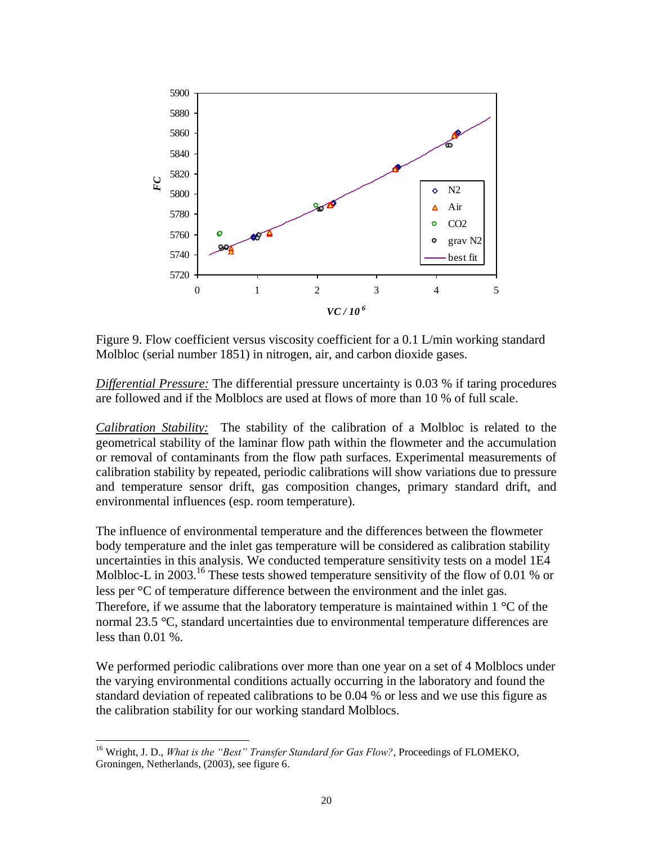

Figure 9. Flow coefficient versus viscosity coefficient for a 0.1 L/min working standard Molbloc (serial number 1851) in nitrogen, air, and carbon dioxide gases.

*Differential Pressure:* The differential pressure uncertainty is 0.03 % if taring procedures are followed and if the Molblocs are used at flows of more than 10 % of full scale.

*Calibration Stability:* The stability of the calibration of a Molbloc is related to the geometrical stability of the laminar flow path within the flowmeter and the accumulation or removal of contaminants from the flow path surfaces. Experimental measurements of calibration stability by repeated, periodic calibrations will show variations due to pressure and temperature sensor drift, gas composition changes, primary standard drift, and environmental influences (esp. room temperature).

The influence of environmental temperature and the differences between the flowmeter body temperature and the inlet gas temperature will be considered as calibration stability uncertainties in this analysis. We conducted temperature sensitivity tests on a model 1E4 Molbloc-L in 2003.<sup>16</sup> These tests showed temperature sensitivity of the flow of 0.01 % or less per <sup>o</sup>C of temperature difference between the environment and the inlet gas. Therefore, if we assume that the laboratory temperature is maintained within  $1 \degree C$  of the normal 23.5 °C, standard uncertainties due to environmental temperature differences are less than  $0.01\%$ .

We performed periodic calibrations over more than one year on a set of 4 Molblocs under the varying environmental conditions actually occurring in the laboratory and found the standard deviation of repeated calibrations to be 0.04 % or less and we use this figure as the calibration stability for our working standard Molblocs.

-

<sup>&</sup>lt;sup>16</sup> Wright, J. D., *What is the "Best" Transfer Standard for Gas Flow?*, Proceedings of FLOMEKO, Groningen, Netherlands, (2003), see figure 6.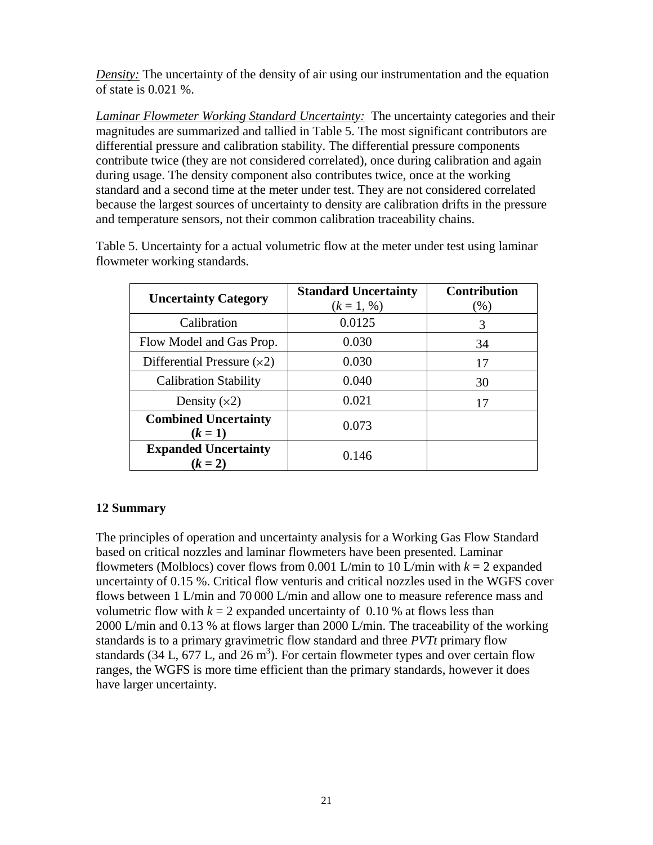*Density:* The uncertainty of the density of air using our instrumentation and the equation of state is 0.021 %.

*Laminar Flowmeter Working Standard Uncertainty:* The uncertainty categories and their magnitudes are summarized and tallied in Table 5. The most significant contributors are differential pressure and calibration stability. The differential pressure components contribute twice (they are not considered correlated), once during calibration and again during usage. The density component also contributes twice, once at the working standard and a second time at the meter under test. They are not considered correlated because the largest sources of uncertainty to density are calibration drifts in the pressure and temperature sensors, not their common calibration traceability chains.

| <b>Uncertainty Category</b>              | <b>Standard Uncertainty</b><br>$(k = 1, %)$ | <b>Contribution</b><br>(% ) |
|------------------------------------------|---------------------------------------------|-----------------------------|
| Calibration                              | 0.0125                                      | 3                           |
| Flow Model and Gas Prop.                 | 0.030                                       | 34                          |
| Differential Pressure $(x2)$             | 0.030                                       | 17                          |
| <b>Calibration Stability</b>             | 0.040                                       | 30                          |
| Density $(x2)$                           | 0.021                                       | 17                          |
| <b>Combined Uncertainty</b><br>$(k = 1)$ | 0.073                                       |                             |
| <b>Expanded Uncertainty</b><br>$(k = 2)$ | 0.146                                       |                             |

Table 5. Uncertainty for a actual volumetric flow at the meter under test using laminar flowmeter working standards.

## **12 Summary**

The principles of operation and uncertainty analysis for a Working Gas Flow Standard based on critical nozzles and laminar flowmeters have been presented. Laminar flowmeters (Molblocs) cover flows from 0.001 L/min to 10 L/min with  $k = 2$  expanded uncertainty of 0.15 %. Critical flow venturis and critical nozzles used in the WGFS cover flows between 1 L/min and 70 000 L/min and allow one to measure reference mass and volumetric flow with  $k = 2$  expanded uncertainty of 0.10 % at flows less than 2000 L/min and 0.13 % at flows larger than 2000 L/min. The traceability of the working standards is to a primary gravimetric flow standard and three *PVTt* primary flow standards (34 L,  $677$  L, and  $26 \text{ m}^3$ ). For certain flowmeter types and over certain flow ranges, the WGFS is more time efficient than the primary standards, however it does have larger uncertainty.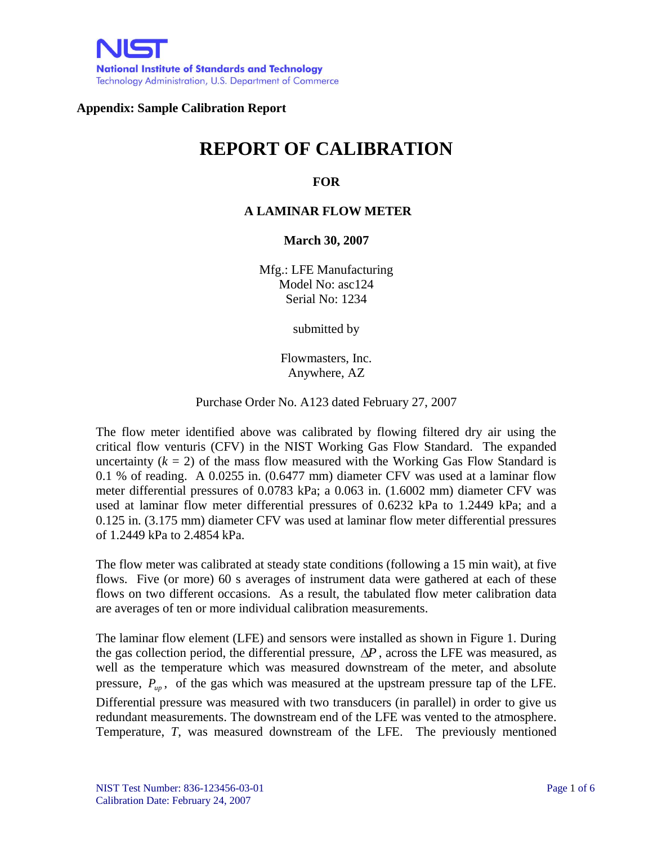## **Appendix: Sample Calibration Report**

# **REPORT OF CALIBRATION**

## **FOR**

### **A LAMINAR FLOW METER**

**March 30, 2007**

Mfg.: LFE Manufacturing Model No: asc124 Serial No: 1234

submitted by

Flowmasters, Inc. Anywhere, AZ

Purchase Order No. A123 dated February 27, 2007

The flow meter identified above was calibrated by flowing filtered dry air using the critical flow venturis (CFV) in the NIST Working Gas Flow Standard. The expanded uncertainty  $(k = 2)$  of the mass flow measured with the Working Gas Flow Standard is 0.1 % of reading. A 0.0255 in. (0.6477 mm) diameter CFV was used at a laminar flow meter differential pressures of 0.0783 kPa; a 0.063 in. (1.6002 mm) diameter CFV was used at laminar flow meter differential pressures of 0.6232 kPa to 1.2449 kPa; and a 0.125 in. (3.175 mm) diameter CFV was used at laminar flow meter differential pressures of 1.2449 kPa to 2.4854 kPa.

The flow meter was calibrated at steady state conditions (following a 15 min wait), at five flows. Five (or more) 60 s averages of instrument data were gathered at each of these flows on two different occasions. As a result, the tabulated flow meter calibration data are averages of ten or more individual calibration measurements.

The laminar flow element (LFE) and sensors were installed as shown in Figure 1. During the gas collection period, the differential pressure,  $\Delta P$ , across the LFE was measured, as well as the temperature which was measured downstream of the meter, and absolute pressure,  $P_{up}$ , of the gas which was measured at the upstream pressure tap of the LFE. Differential pressure was measured with two transducers (in parallel) in order to give us redundant measurements. The downstream end of the LFE was vented to the atmosphere. Temperature, *T*, was measured downstream of the LFE. The previously mentioned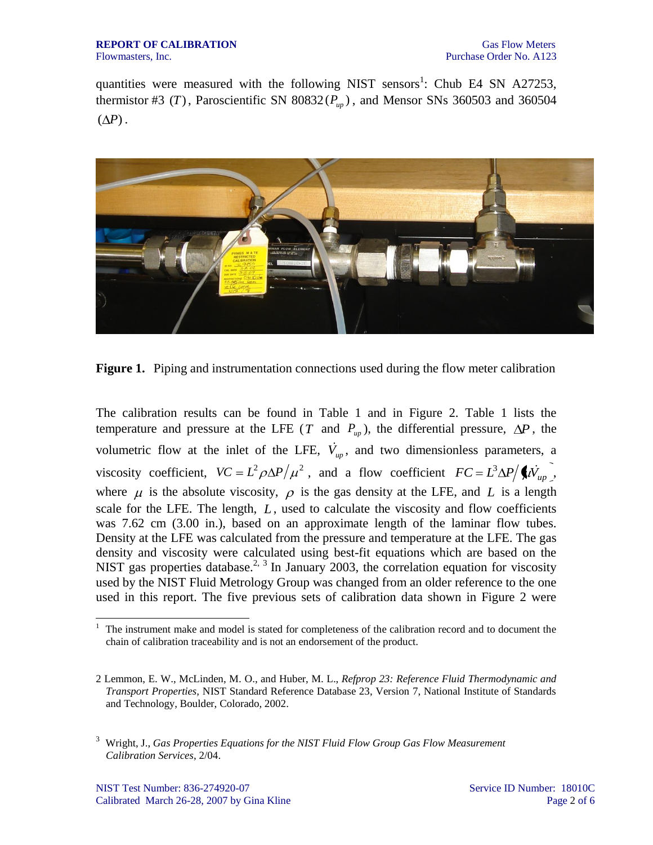quantities were measured with the following NIST sensors<sup>1</sup>: Chub E4 SN A27253, thermistor #3 (*T*), Paroscientific SN 80832( $P_{up}$ ), and Mensor SNs 360503 and 360504  $(\Delta P)$ .



**Figure 1.** Piping and instrumentation connections used during the flow meter calibration

The calibration results can be found in Table 1 and in Figure 2. Table 1 lists the temperature and pressure at the LFE (*T* and  $P_{up}$ ), the differential pressure,  $\Delta P$ , the volumetric flow at the inlet of the LFE,  $\dot{V}_{up}$ , and two dimensionless parameters, a viscosity coefficient,  $VC = L^2 \rho \Delta P / \mu^2$ , and a flow coefficient  $FC = L^3 \Delta P / \langle l \bar{V}_{up} \rangle$ , where  $\mu$  is the absolute viscosity,  $\rho$  is the gas density at the LFE, and L is a length scale for the LFE. The length, L, used to calculate the viscosity and flow coefficients was 7.62 cm (3.00 in.), based on an approximate length of the laminar flow tubes. Density at the LFE was calculated from the pressure and temperature at the LFE. The gas density and viscosity were calculated using best-fit equations which are based on the NIST gas properties database.<sup>2, 3</sup> In January 2003, the correlation equation for viscosity used by the NIST Fluid Metrology Group was changed from an older reference to the one used in this report. The five previous sets of calibration data shown in Figure 2 were

-

<sup>1</sup> The instrument make and model is stated for completeness of the calibration record and to document the chain of calibration traceability and is not an endorsement of the product.

<sup>2</sup> Lemmon, E. W., McLinden, M. O., and Huber, M. L., *Refprop 23: Reference Fluid Thermodynamic and Transport Properties,* NIST Standard Reference Database 23, Version 7, National Institute of Standards and Technology, Boulder, Colorado, 2002.

<sup>3</sup> Wright, J., *Gas Properties Equations for the NIST Fluid Flow Group Gas Flow Measurement Calibration Services*, 2/04.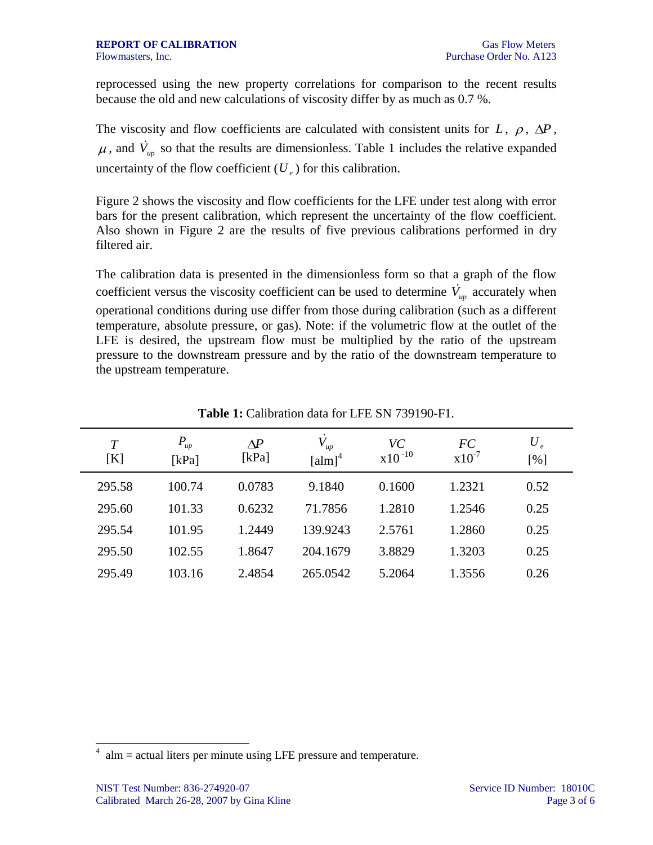reprocessed using the new property correlations for comparison to the recent results because the old and new calculations of viscosity differ by as much as 0.7 %.

The viscosity and flow coefficients are calculated with consistent units for  $L$ ,  $\rho$ ,  $\Delta P$ , , and  $\dot{V}_{up}$  so that the results are dimensionless. Table 1 includes the relative expanded uncertainty of the flow coefficient  $(U_e)$  for this calibration.

Figure 2 shows the viscosity and flow coefficients for the LFE under test along with error bars for the present calibration, which represent the uncertainty of the flow coefficient. Also shown in Figure 2 are the results of five previous calibrations performed in dry filtered air.

The calibration data is presented in the dimensionless form so that a graph of the flow coefficient versus the viscosity coefficient can be used to determine  $\dot{V}_{up}$  accurately when operational conditions during use differ from those during calibration (such as a different temperature, absolute pressure, or gas). Note: if the volumetric flow at the outlet of the LFE is desired, the upstream flow must be multiplied by the ratio of the upstream pressure to the downstream pressure and by the ratio of the downstream temperature to the upstream temperature.

| T<br>[K] | $P_{up}$<br>[kPa] | $\Delta P$<br>[ $kPa$ ] | $V_{up}$<br>$\left[\text{alm}\right]^4$ | VC<br>$x10^{-10}$ | FC<br>$x10^{-7}$ | $U_e$<br>[%] |
|----------|-------------------|-------------------------|-----------------------------------------|-------------------|------------------|--------------|
| 295.58   | 100.74            | 0.0783                  | 9.1840                                  | 0.1600            | 1.2321           | 0.52         |
| 295.60   | 101.33            | 0.6232                  | 71.7856                                 | 1.2810            | 1.2546           | 0.25         |
| 295.54   | 101.95            | 1.2449                  | 139.9243                                | 2.5761            | 1.2860           | 0.25         |
| 295.50   | 102.55            | 1.8647                  | 204.1679                                | 3.8829            | 1.3203           | 0.25         |
| 295.49   | 103.16            | 2.4854                  | 265.0542                                | 5.2064            | 1.3556           | 0.26         |

**Table 1:** Calibration data for LFE SN 739190-F1.

1

 $4$  alm = actual liters per minute using LFE pressure and temperature.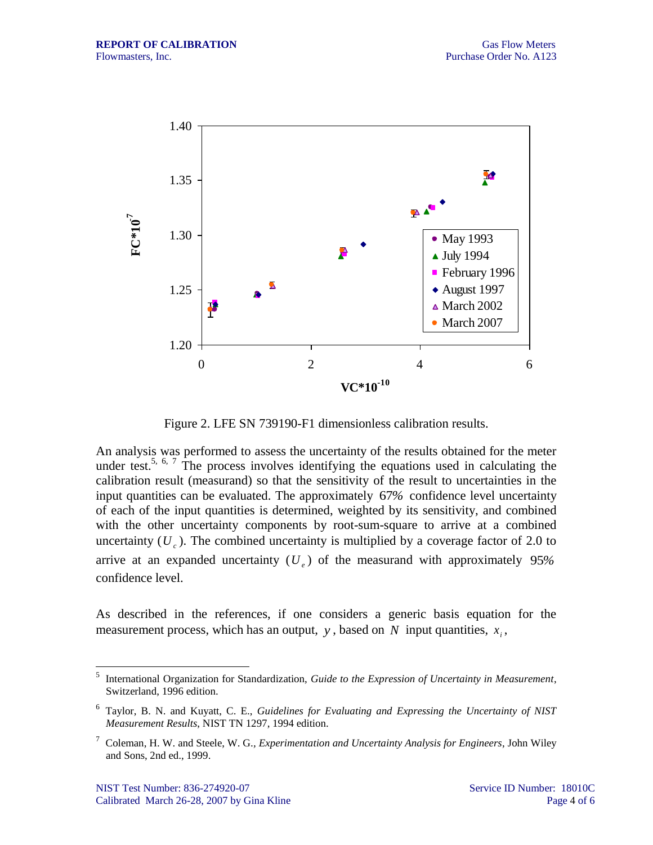

Figure 2. LFE SN 739190-F1 dimensionless calibration results.

An analysis was performed to assess the uncertainty of the results obtained for the meter under test.<sup>5, 6, 7</sup> The process involves identifying the equations used in calculating the calibration result (measurand) so that the sensitivity of the result to uncertainties in the input quantities can be evaluated. The approximately 67*%* confidence level uncertainty of each of the input quantities is determined, weighted by its sensitivity, and combined with the other uncertainty components by root-sum-square to arrive at a combined uncertainty  $(U_c)$ . The combined uncertainty is multiplied by a coverage factor of 2.0 to arrive at an expanded uncertainty ( *Ue* ) of the measurand with approximately 95*%* confidence level.

As described in the references, if one considers a generic basis equation for the measurement process, which has an output,  $y$ , based on  $N$  input quantities,  $x_i$ ,

 $\frac{1}{5}$ International Organization for Standardization, *Guide to the Expression of Uncertainty in Measurement*, Switzerland, 1996 edition.

<sup>6</sup> Taylor, B. N. and Kuyatt, C. E., *Guidelines for Evaluating and Expressing the Uncertainty of NIST Measurement Results*, NIST TN 1297, 1994 edition.

<sup>7</sup> Coleman, H. W. and Steele, W. G.*, Experimentation and Uncertainty Analysis for Engineers*, John Wiley and Sons, 2nd ed., 1999.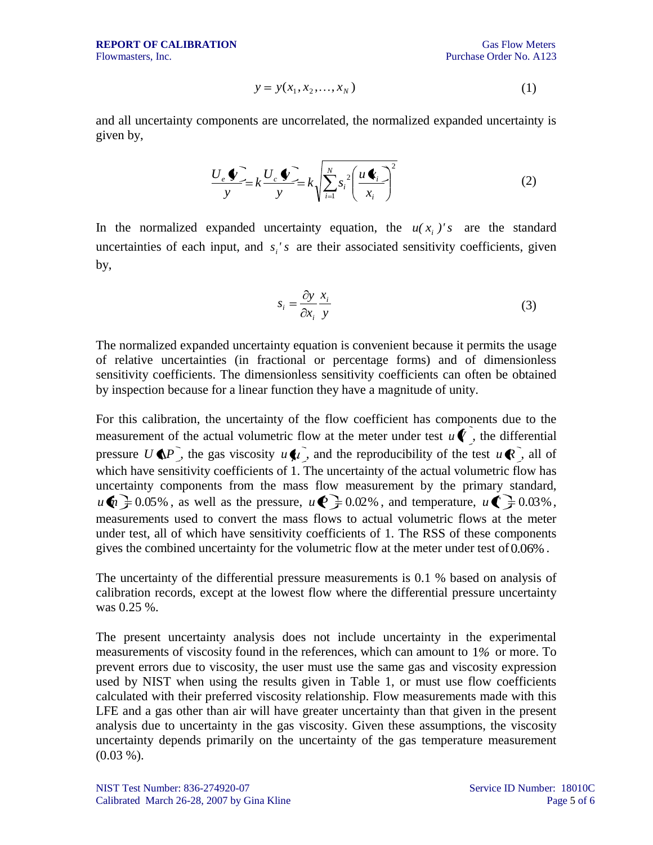$$
y = y(x_1, x_2, \dots, x_N)
$$
 (1)

and all uncertainty components are uncorrelated, the normalized expanded uncertainty is given by,

$$
\frac{U_e \Phi}{y} = k \frac{U_c \Phi}{y} = k \sqrt{\sum_{i=1}^{N} s_i^2 \left(\frac{u \Phi_i}{x_i}\right)^2}
$$
(2)

In the normalized expanded uncertainty equation, the  $u(x_i)$ 's are the standard uncertainties of each input, and  $s_i$ 's are their associated sensitivity coefficients, given by,

$$
s_i = \frac{\partial y}{\partial x_i} \frac{x_i}{y}
$$
 (3)

The normalized expanded uncertainty equation is convenient because it permits the usage of relative uncertainties (in fractional or percentage forms) and of dimensionless sensitivity coefficients. The dimensionless sensitivity coefficients can often be obtained by inspection because for a linear function they have a magnitude of unity.

 $y = y(x_1, x_2, ..., x_n)$  (1)<br>
and all uncertainty components are uncorrelated, the normalized expanded uncertainty is<br>
given by,<br>  $\frac{U_x \Phi_{-\infty}}{y} k \left( \frac{\Phi_{-\infty}}{y} k \right) \left( \frac{\Phi_{-\infty}}{x} \right)^2$  (2)<br>
the the normalized expanded uncertai For this calibration, the uncertainty of the flow coefficient has components due to the measurement of the actual volumetric flow at the meter under test  $u\hat{\mathbf{V}}$ , the differential pressure  $U \oplus P$ , the gas viscosity  $u \oplus u$ , and the reproducibility of the test  $u \otimes u$ , all of which have sensitivity coefficients of 1. The uncertainty of the actual volumetric flow has uncertainty components from the mass flow measurement by the primary standard,  $u \cdot \mathbf{u} \geq 0.05\%$ , as well as the pressure,  $u \cdot \mathbf{v} \geq 0.02\%$ , and temperature,  $u \cdot \mathbf{v} \geq 0.03\%$ , measurements used to convert the mass flows to actual volumetric flows at the meter under test, all of which have sensitivity coefficients of 1. The RSS of these components gives the combined uncertainty for the volumetric flow at the meter under test of 0.06% .

The uncertainty of the differential pressure measurements is 0.1 % based on analysis of calibration records, except at the lowest flow where the differential pressure uncertainty was 0.25 %.

The present uncertainty analysis does not include uncertainty in the experimental measurements of viscosity found in the references, which can amount to 1*%* or more. To prevent errors due to viscosity, the user must use the same gas and viscosity expression used by NIST when using the results given in Table 1, or must use flow coefficients calculated with their preferred viscosity relationship. Flow measurements made with this LFE and a gas other than air will have greater uncertainty than that given in the present analysis due to uncertainty in the gas viscosity. Given these assumptions, the viscosity uncertainty depends primarily on the uncertainty of the gas temperature measurement  $(0.03\%).$